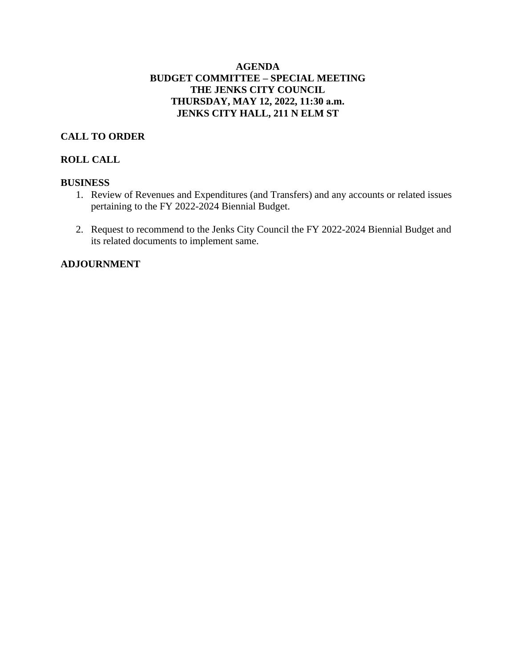## **AGENDA BUDGET COMMITTEE – SPECIAL MEETING THE JENKS CITY COUNCIL THURSDAY, MAY 12, 2022, 11:30 a.m. JENKS CITY HALL, 211 N ELM ST**

## **CALL TO ORDER**

## **ROLL CALL**

### **BUSINESS**

- 1. Review of Revenues and Expenditures (and Transfers) and any accounts or related issues pertaining to the FY 2022-2024 Biennial Budget.
- 2. Request to recommend to the Jenks City Council the FY 2022-2024 Biennial Budget and its related documents to implement same.

## **ADJOURNMENT**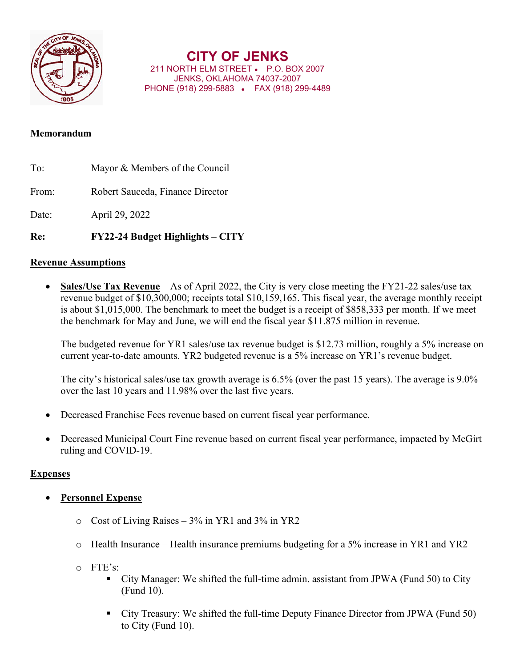

# **CITY OF JENKS**

211 NORTH ELM STREET • P.O. BOX 2007 JENKS, OKLAHOMA 74037-2007 PHONE (918) 299-5883 • FAX (918) 299-4489

## **Memorandum**

- To: Mayor & Members of the Council From: Robert Sauceda, Finance Director Date: April 29, 2022
- **Re: FY22-24 Budget Highlights – CITY**

## **Revenue Assumptions**

 **Sales/Use Tax Revenue** – As of April 2022, the City is very close meeting the FY21-22 sales/use tax revenue budget of \$10,300,000; receipts total \$10,159,165. This fiscal year, the average monthly receipt is about \$1,015,000. The benchmark to meet the budget is a receipt of \$858,333 per month. If we meet the benchmark for May and June, we will end the fiscal year \$11.875 million in revenue.

The budgeted revenue for YR1 sales/use tax revenue budget is \$12.73 million, roughly a 5% increase on current year-to-date amounts. YR2 budgeted revenue is a 5% increase on YR1's revenue budget.

The city's historical sales/use tax growth average is 6.5% (over the past 15 years). The average is 9.0% over the last 10 years and 11.98% over the last five years.

- Decreased Franchise Fees revenue based on current fiscal year performance.
- Decreased Municipal Court Fine revenue based on current fiscal year performance, impacted by McGirt ruling and COVID-19.

## **Expenses**

- **Personnel Expense**
	- o Cost of Living Raises 3% in YR1 and 3% in YR2
	- o Health Insurance Health insurance premiums budgeting for a 5% increase in YR1 and YR2
	- o FTE's:
		- City Manager: We shifted the full-time admin. assistant from JPWA (Fund 50) to City (Fund 10).
		- City Treasury: We shifted the full-time Deputy Finance Director from JPWA (Fund 50) to City (Fund 10).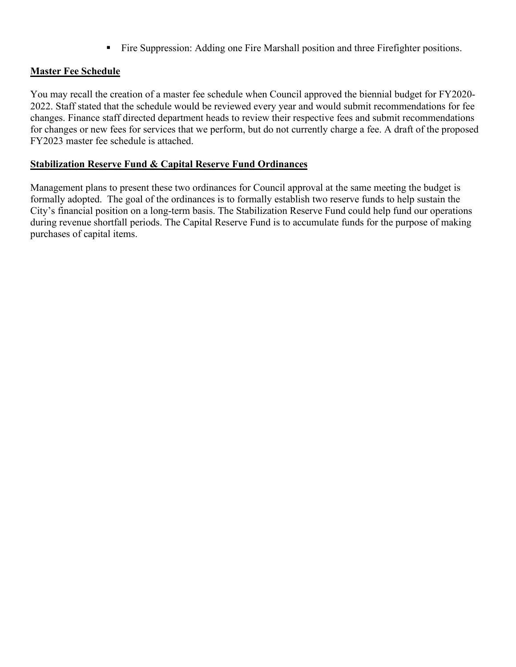Fire Suppression: Adding one Fire Marshall position and three Firefighter positions.

## **Master Fee Schedule**

You may recall the creation of a master fee schedule when Council approved the biennial budget for FY2020- 2022. Staff stated that the schedule would be reviewed every year and would submit recommendations for fee changes. Finance staff directed department heads to review their respective fees and submit recommendations for changes or new fees for services that we perform, but do not currently charge a fee. A draft of the proposed FY2023 master fee schedule is attached.

## **Stabilization Reserve Fund & Capital Reserve Fund Ordinances**

Management plans to present these two ordinances for Council approval at the same meeting the budget is formally adopted. The goal of the ordinances is to formally establish two reserve funds to help sustain the City's financial position on a long-term basis. The Stabilization Reserve Fund could help fund our operations during revenue shortfall periods. The Capital Reserve Fund is to accumulate funds for the purpose of making purchases of capital items.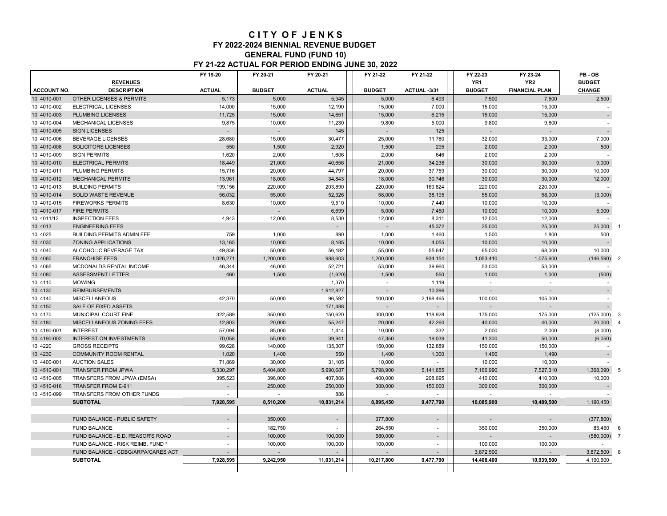#### **C I T Y O F J E N K S FY 2022-2024 BIENNIAL REVENUE BUDGET GENERAL FUND (FUND 10) FY 21-22 ACTUAL FOR PERIOD ENDING JUNE 30, 2022**

|                    |                                     | FY 19-20       | FY 20-21      | FY 20-21                 | FY 21-22      | FY 21-22                 | FY 22-23        | FY 23-24              | PB-OB                            |
|--------------------|-------------------------------------|----------------|---------------|--------------------------|---------------|--------------------------|-----------------|-----------------------|----------------------------------|
|                    | <b>REVENUES</b>                     |                |               |                          |               |                          | YR <sub>1</sub> | YR <sub>2</sub>       | <b>BUDGET</b>                    |
| <b>ACCOUNT NO.</b> | <b>DESCRIPTION</b>                  | <b>ACTUAL</b>  | <b>BUDGET</b> | <b>ACTUAL</b>            | <b>BUDGET</b> | ACTUAL-3/31              | <b>BUDGET</b>   | <b>FINANCIAL PLAN</b> | <b>CHANGE</b>                    |
| 10 4010-001        | <b>OTHER LICENSES &amp; PERMITS</b> | 5,173          | 5,000         | 5,945                    | 5,000         | 6,493                    | 7,500           | 7.500                 | 2,500                            |
| 10 4010-002        | <b>ELECTRICAL LICENSES</b>          | 14,000         | 15,000        | 12,190                   | 15,000        | 7,000                    | 15,000          | 15,000                |                                  |
| 10 4010-003        | <b>PLUMBING LICENSES</b>            | 11,725         | 15,000        | 14,651                   | 15,000        | 6,215                    | 15,000          | 15,000                |                                  |
| 10 4010-004        | <b>MECHANICAL LICENSES</b>          | 9,875          | 10,000        | 11,230                   | 9,800         | 5.000                    | 9,800           | 9.800                 |                                  |
| 10 4010-005        | <b>SIGN LICENSES</b>                |                |               | 145                      |               | 125                      |                 |                       |                                  |
| 10 4010-006        | <b>BEVERAGE LICENSES</b>            | 28,680         | 15.000        | 30.477                   | 25,000        | 11.780                   | 32,000          | 33,000                | 7.000                            |
| 10 4010-008        | SOLICITORS LICENSES                 | 550            | 1,500         | 2,920                    | 1,500         | 295                      | 2,000           | 2,000                 | 500                              |
| 10 4010-009        | <b>SIGN PERMITS</b>                 | 1,620          | 2,000         | 1,606                    | 2,000         | 646                      | 2,000           | 2,000                 |                                  |
| 10 4010-010        | <b>ELECTRICAL PERMITS</b>           | 18.449         | 21,000        | 40.656                   | 21,000        | 34,238                   | 30,000          | 30,000                | 9,000                            |
| 10 4010-011        | <b>PLUMBING PERMITS</b>             | 15,716         | 20,000        | 44,797                   | 20,000        | 37,759                   | 30,000          | 30,000                | 10,000                           |
| 10 4010-012        | <b>MECHANICAL PERMITS</b>           | 13,961         | 18,000        | 34,843                   | 18,000        | 30,746                   | 30,000          | 30,000                | 12,000                           |
| 10 4010-013        | <b>BUILDING PERMITS</b>             | 199,156        | 220,000       | 203,890                  | 220,000       | 169,824                  | 220,000         | 220,000               |                                  |
| 10 4010-014        | <b>SOLID WASTE REVENUE</b>          | 56,032         | 55,000        | 52,326                   | 58,000        | 38,195                   | 55,000          | 58,000                | (3,000)                          |
| 10 4010-015        | <b>FIREWORKS PERMITS</b>            | 8,630          | 10,000        | 9,510                    | 10,000        | 7,440                    | 10,000          | 10,000                |                                  |
| 10 4010-017        | <b>FIRE PERMITS</b>                 |                |               | 6.699                    | 5.000         | 7,450                    | 10.000          | 10.000                | 5,000                            |
| 10 4011/12         | <b>INSPECTION FEES</b>              | 4,943          | 12,000        | 8,530                    | 12,000        | 8,311                    | 12,000          | 12,000                |                                  |
| 10 4013            | <b>ENGINEERING FEES</b>             |                |               | $\overline{\phantom{a}}$ |               | 45,372                   | 25,000          | 25,000                | 25,000                           |
| 10 4025            | <b>BUILDING PERMITS ADMIN FEE</b>   | 759            | 1,000         | 890                      | 1,000         | 1,460                    | 1,500           | 1,800                 | 500                              |
| 10 4030            | <b>ZONING APPLICATIONS</b>          | 13,165         | 10,000        | 8,185                    | 10,000        | 4,055                    | 10,000          | 10,000                |                                  |
| 10 4040            | ALCOHOLIC BEVERAGE TAX              | 49,836         | 50,000        | 56,182                   | 55,000        | 55,647                   | 65,000          | 68,000                | 10,000                           |
| 10 4060            | <b>FRANCHISE FEES</b>               | 1,026,271      | 1,200,000     | 988,603                  | 1,200,000     | 934,154                  | 1,053,410       | 1,075,600             | (146, 590)                       |
| 10 40 65           | MCDONALDS RENTAL INCOME             | 46,344         | 46,000        | 52,721                   | 53,000        | 39,960                   | 53,000          | 53,000                |                                  |
| 10 4080            | <b>ASSESSMENT LETTER</b>            | 460            | 1,500         | (1,620)                  | 1,500         | 550                      | 1,000           | 1,000                 | (500)                            |
| 10 4110            | <b>MOWING</b>                       |                |               | 1,370                    | $\sim$        | 1.119                    | $\sim$          |                       |                                  |
| 10 4130            | <b>REIMBURSEMENTS</b>               |                |               | 1,912,827                |               | 10,396                   |                 |                       |                                  |
| 10 4140            | <b>MISCELLANEOUS</b>                | 42,370         | 50,000        | 96,592                   | 100,000       | 2,198,465                | 100,000         | 105,000               |                                  |
| 10 4150            | <b>SALE OF FIXED ASSETS</b>         |                |               | 171,488                  |               |                          |                 | $\mathbf{r}$          |                                  |
| 10 4170            | MUNICIPAL COURT FINE                | 322,589        | 350,000       | 150,620                  | 300,000       | 118,928                  | 175,000         | 175,000               | (125,000)<br>3                   |
| 10 4180            | <b>MISCELLANEOUS ZONING FEES</b>    | 12.803         | 20,000        | 55,247                   | 20,000        | 42.260                   | 40.000          | 40.000                | 20,000<br>$\boldsymbol{\Lambda}$ |
| 10 4190-001        | <b>INTEREST</b>                     | 57,094         | 85,000        | 1,414                    | 10,000        | 332                      | 2,000           | 2,000                 | (8,000)                          |
| 10 4190-002        | <b>INTEREST ON INVESTMENTS</b>      | 70,058         | 55,000        | 39,941                   | 47,350        | 19,039                   | 41,300          | 50,000                | (6,050)                          |
| 10 4220            | <b>GROSS RECEIPTS</b>               | 99,628         | 140,000       | 135,307                  | 150,000       | 132,889                  | 150,000         | 150,000               |                                  |
| 10 4230            | <b>COMMUNITY ROOM RENTAL</b>        | 1,020          | 1,400         | 550                      | 1,400         | 1,300                    | 1,400           | 1,490                 |                                  |
| 10 4400-001        | <b>AUCTION SALES</b>                | 71,869         | 30,000        | 31,105                   | 10,000        |                          | 10,000          | 10,000                |                                  |
| 10 4510-001        | <b>TRANSFER FROM JPWA</b>           | 5.330.297      | 5,404,800     | 5.990.687                | 5.798.900     | 5.141.655                | 7.166.990       | 7.527.310             | 1,368,090                        |
| 10 4510-005        | TRANSFERS FROM JPWA (EMSA)          | 395,523        | 396,000       | 407,806                  | 400,000       | 208,695                  | 410,000         | 410,000               | 10,000                           |
| 10 4510-016        | <b>TRANSFER FROM E-911</b>          |                | 250,000       | 250,000                  | 300,000       | 150,000                  | 300,000         | 300,000               |                                  |
| 10 4510-099        | TRANSFERS FROM OTHER FUNDS          | $\sim$         | $\sim$        | 886                      | $\sim$        | $\sim$                   | $\sim$          | $\sim$                |                                  |
|                    | <b>SUBTOTAL</b>                     | 7,928,595      | 8,510,200     | 10,831,214               | 8,895,450     | 9,477,790                | 10,085,900      | 10,489,500            | 1,190,450                        |
|                    |                                     |                |               |                          |               |                          |                 |                       |                                  |
|                    | FUND BALANCE - PUBLIC SAFETY        | $\overline{a}$ | 350,000       | $\sim$                   | 377,800       | ÷,                       |                 |                       | (377, 800)                       |
|                    | <b>FUND BALANCE</b>                 | $\sim$         | 182,750       | ÷.                       | 264,550       | ÷,                       | 350,000         | 350,000               | 85,450<br>6                      |
|                    | FUND BALANCE - E.D. REASOR'S ROAD   | ÷              | 100,000       | 100,000                  | 580,000       |                          |                 | ÷.                    | (580,000)                        |
|                    | FUND BALANCE - RISK REIMB. FUND *   | $\blacksquare$ | 100,000       | 100,000                  | 100,000       | $\overline{\phantom{a}}$ | 100,000         | 100,000               |                                  |
|                    | FUND BALANCE - CDBG/ARPA/CARES ACT  | $\sim$         | ÷.            |                          |               |                          | 3,872,500       |                       | 3,872,500                        |
|                    | <b>SUBTOTAL</b>                     | 7,928,595      | 9,242,950     | 11,031,214               | 10,217,800    | 9,477,790                | 14,408,400      | 10,939,500            | 4,190,600                        |
|                    |                                     |                |               |                          |               |                          |                 |                       |                                  |
|                    |                                     |                |               |                          |               |                          |                 |                       |                                  |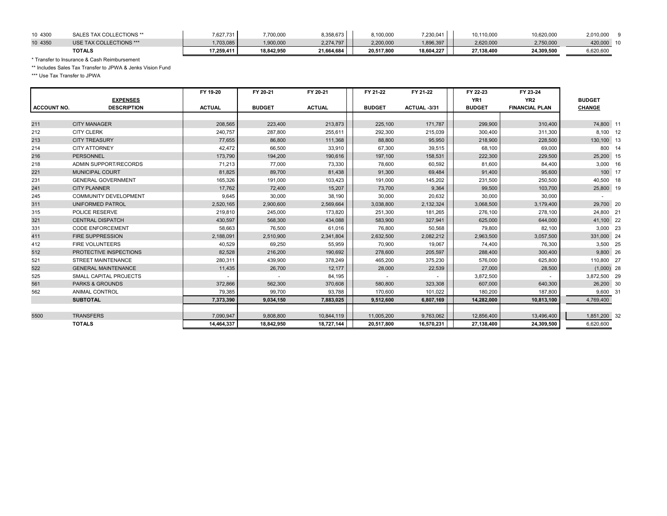| 10 4300 | <b>ECTIONS **</b>       | 7,627,731  | .700,000   | 8,358,673  | 3,100,000  | 7,230,041  | 10,110,000 | 10,620,000 | 2,010,000 |  |
|---------|-------------------------|------------|------------|------------|------------|------------|------------|------------|-----------|--|
| 10 4350 | USE TAX COLLECTIONS *** | ,703,085   | ,900,000   | 2.274.797  | 2,200,000  | 896,397    | 2,620,000  | 2,750,000  | 420,000   |  |
|         | <b>TOTALS</b>           | 17,259,411 | 18,842,950 | 21.664.684 | 20,517,800 | 18,604,227 | 27,138,400 | 24,309,500 | 6,620,600 |  |

\* Transfer to Insurance & Cash Reimbursement

\*\* Includes Sales Tax Transfer to JPWA & Jenks Vision Fund

\*\*\* Use Tax Transfer to JPWA

|                    |                               | FY 19-20      | FY 20-21      | FY 20-21      | FY 21-22      | FY 21-22     | FY 22-23        | FY 23-24              |               |        |
|--------------------|-------------------------------|---------------|---------------|---------------|---------------|--------------|-----------------|-----------------------|---------------|--------|
|                    | <b>EXPENSES</b>               |               |               |               |               |              | YR <sub>1</sub> | YR <sub>2</sub>       | <b>BUDGET</b> |        |
| <b>ACCOUNT NO.</b> | <b>DESCRIPTION</b>            | <b>ACTUAL</b> | <b>BUDGET</b> | <b>ACTUAL</b> | <b>BUDGET</b> | ACTUAL -3/31 | <b>BUDGET</b>   | <b>FINANCIAL PLAN</b> | <b>CHANGE</b> |        |
|                    |                               |               |               |               |               |              |                 |                       |               |        |
| 211                | <b>CITY MANAGER</b>           | 208,565       | 223,400       | 213,873       | 225,100       | 171,787      | 299.900         | 310,400               | 74,800 11     |        |
| 212                | <b>CITY CLERK</b>             | 240,757       | 287,800       | 255,611       | 292,300       | 215,039      | 300,400         | 311,300               | 8,100 12      |        |
| 213                | <b>CITY TREASURY</b>          | 77,655        | 86,800        | 111,368       | 88,800        | 95,950       | 218,900         | 228,500               | 130,100 13    |        |
| 214                | <b>CITY ATTORNEY</b>          | 42,472        | 66,500        | 33,910        | 67,300        | 39,515       | 68,100          | 69,000                |               | 800 14 |
| 216                | PERSONNEL                     | 173,790       | 194,200       | 190,616       | 197,100       | 158,531      | 222,300         | 229,500               | 25,200 15     |        |
| 218                | ADMIN SUPPORT/RECORDS         | 71,213        | 77,000        | 73,330        | 78,600        | 60,592       | 81,600          | 84,400                | 3,000 16      |        |
| 221                | <b>MUNICIPAL COURT</b>        | 81,825        | 89,700        | 81,438        | 91,300        | 69,484       | 91,400          | 95,600                |               | 100 17 |
| 231                | <b>GENERAL GOVERNMENT</b>     | 165,326       | 191,000       | 103,423       | 191,000       | 145,202      | 231,500         | 250,500               | 40,500 18     |        |
| 241                | <b>CITY PLANNER</b>           | 17,762        | 72,400        | 15,207        | 73,700        | 9,364        | 99,500          | 103,700               | 25,800 19     |        |
| 245                | <b>COMMUNITY DEVELOPMENT</b>  | 9,645         | 30,000        | 38,190        | 30,000        | 20,632       | 30,000          | 30,000                |               |        |
| 311                | UNIFORMED PATROL              | 2,520,165     | 2,900,600     | 2,569,664     | 3,038,800     | 2,132,324    | 3,068,500       | 3,179,400             | 29,700 20     |        |
| 315                | <b>POLICE RESERVE</b>         | 219,810       | 245,000       | 173,820       | 251,300       | 181,265      | 276,100         | 278,100               | 24,800 21     |        |
| 321                | <b>CENTRAL DISPATCH</b>       | 430,597       | 568,300       | 434,088       | 583.900       | 327,941      | 625,000         | 644,000               | 41,100 22     |        |
| 331                | <b>CODE ENFORCEMENT</b>       | 58,663        | 76,500        | 61,016        | 76,800        | 50,568       | 79,800          | 82,100                | 3,000 23      |        |
| 411                | <b>FIRE SUPPRESSION</b>       | 2,188,091     | 2,510,900     | 2,341,804     | 2,632,500     | 2,082,212    | 2,963,500       | 3,057,500             | 331,000 24    |        |
| 412                | <b>FIRE VOLUNTEERS</b>        | 40.529        | 69,250        | 55,959        | 70,900        | 19,067       | 74.400          | 76,300                | 3,500 25      |        |
| 512                | PROTECTIVE INSPECTIONS        | 82,528        | 216,200       | 190,692       | 278,600       | 205,597      | 288,400         | 300,400               | 9,800 26      |        |
| 521                | <b>STREET MAINTENANCE</b>     | 280,311       | 439,900       | 378,249       | 465,200       | 375,230      | 576,000         | 625,800               | 110,800 27    |        |
| 522                | <b>GENERAL MAINTENANCE</b>    | 11,435        | 26,700        | 12,177        | 28,000        | 22,539       | 27,000          | 28,500                | $(1,000)$ 28  |        |
| 525                | <b>SMALL CAPITAL PROJECTS</b> |               | $\sim$        | 84,195        |               |              | 3,872,500       |                       | 3,872,500 29  |        |
| 561                | <b>PARKS &amp; GROUNDS</b>    | 372,866       | 562,300       | 370,608       | 580,800       | 323,308      | 607,000         | 640,300               | 26,200 30     |        |
| 562                | ANIMAL CONTROL                | 79,385        | 99,700        | 93,788        | 170,600       | 101,022      | 180,200         | 187,800               | 9,600 31      |        |
|                    | <b>SUBTOTAL</b>               | 7,373,390     | 9,034,150     | 7,883,025     | 9,512,600     | 6,807,169    | 14,282,000      | 10,813,100            | 4,769,400     |        |
|                    |                               |               |               |               |               |              |                 |                       |               |        |
| 5500               | <b>TRANSFERS</b>              | 7,090,947     | 9,808,800     | 10,844,119    | 11,005,200    | 9,763,062    | 12,856,400      | 13,496,400            | 1,851,200 32  |        |
|                    | <b>TOTALS</b>                 | 14,464,337    | 18,842,950    | 18,727,144    | 20,517,800    | 16,570,231   | 27,138,400      | 24,309,500            | 6,620,600     |        |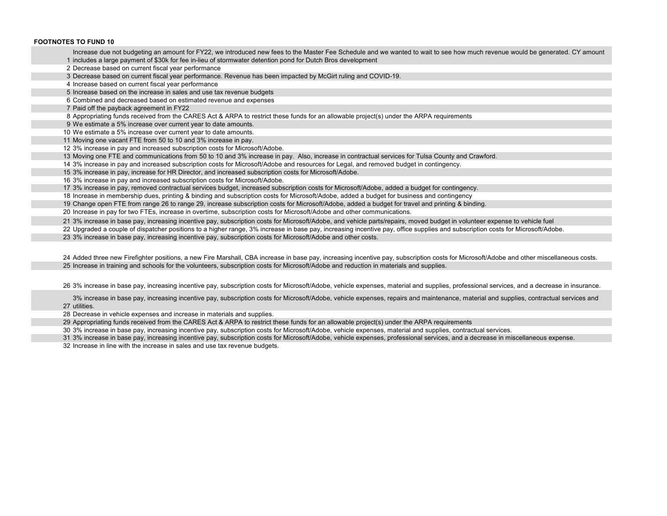#### **FOOTNOTES TO FUND 10**

 includes a large payment of \$30k for fee in-lieu of stormwater detention pond for Dutch Bros developmentIncrease due not budgeting an amount for FY22, we introduced new fees to the Master Fee Schedule and we wanted to wait to see how much revenue would be generated. CY amount

- Decrease based on current fiscal year performance
- Decrease based on current fiscal year performance. Revenue has been impacted by McGirt ruling and COVID-19.
- Increase based on current fiscal year performance

Increase based on the increase in sales and use tax revenue budgets

Combined and decreased based on estimated revenue and expenses

Paid off the payback agreement in FY22

Appropriating funds received from the CARES Act & ARPA to restrict these funds for an allowable project(s) under the ARPA requirements

We estimate a 5% increase over current year to date amounts.

We estimate a 5% increase over current year to date amounts.

Moving one vacant FTE from 50 to 10 and 3% increase in pay.

3% increase in pay and increased subscription costs for Microsoft/Adobe.

Moving one FTE and communications from 50 to 10 and 3% increase in pay. Also, increase in contractual services for Tulsa County and Crawford.

3% increase in pay and increased subscription costs for Microsoft/Adobe and resources for Legal, and removed budget in contingency.

3% increase in pay, increase for HR Director, and increased subscription costs for Microsoft/Adobe.

3% increase in pay and increased subscription costs for Microsoft/Adobe.

3% increase in pay, removed contractual services budget, increased subscription costs for Microsoft/Adobe, added a budget for contingency.

Increase in membership dues, printing & binding and subscription costs for Microsoft/Adobe, added a budget for business and contingency

Change open FTE from range 26 to range 29, increase subscription costs for Microsoft/Adobe, added a budget for travel and printing & binding.

Increase in pay for two FTEs, increase in overtime, subscription costs for Microsoft/Adobe and other communications.

3% increase in base pay, increasing incentive pay, subscription costs for Microsoft/Adobe, and vehicle parts/repairs, moved budget in volunteer expense to vehicle fuel

Upgraded a couple of dispatcher positions to a higher range, 3% increase in base pay, increasing incentive pay, office supplies and subscription costs for Microsoft/Adobe.

3% increase in base pay, increasing incentive pay, subscription costs for Microsoft/Adobe and other costs.

 Added three new Firefighter positions, a new Fire Marshall, CBA increase in base pay, increasing incentive pay, subscription costs for Microsoft/Adobe and other miscellaneous costs. Increase in training and schools for the volunteers, subscription costs for Microsoft/Adobe and reduction in materials and supplies.

3% increase in base pay, increasing incentive pay, subscription costs for Microsoft/Adobe, vehicle expenses, material and supplies, professional services, and a decrease in insurance.

 utilities. 3% increase in base pay, increasing incentive pay, subscription costs for Microsoft/Adobe, vehicle expenses, repairs and maintenance, material and supplies, contractual services and

Decrease in vehicle expenses and increase in materials and supplies.

Appropriating funds received from the CARES Act & ARPA to restrict these funds for an allowable project(s) under the ARPA requirements

3% increase in base pay, increasing incentive pay, subscription costs for Microsoft/Adobe, vehicle expenses, material and supplies, contractual services.

3% increase in base pay, increasing incentive pay, subscription costs for Microsoft/Adobe, vehicle expenses, professional services, and a decrease in miscellaneous expense.

Increase in line with the increase in sales and use tax revenue budgets.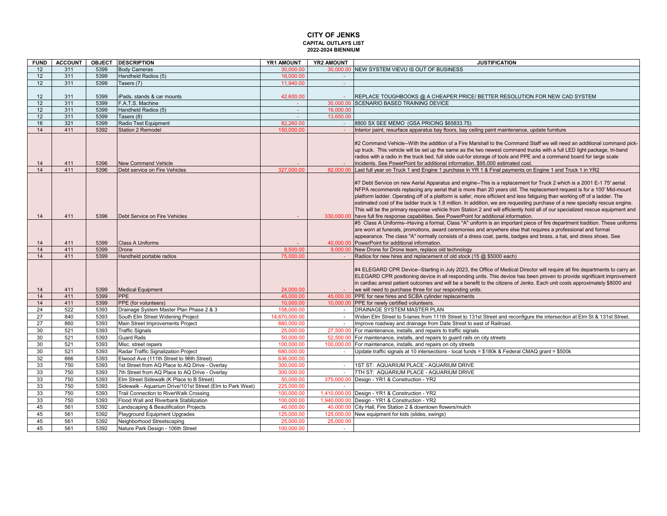#### **CAPITAL OUTLAYS LIST 2022-2024 BIENNIUM CITY OF JENKS**

| <b>FUND</b> | <b>ACCOUNT</b> |              | <b>OBJECT DESCRIPTION</b>                                 | YR1 AMOUNT    | YR2 AMOUNT | <b>JUSTIFICATION</b>                                                                                                                                                                                                                             |
|-------------|----------------|--------------|-----------------------------------------------------------|---------------|------------|--------------------------------------------------------------------------------------------------------------------------------------------------------------------------------------------------------------------------------------------------|
| 12          | 311            | 5399         | <b>Body Cameras</b>                                       | 30,000.00     |            | 30,000,00 INEW SYSTEM VIEVU IS OUT OF BUSINESS                                                                                                                                                                                                   |
| 12          | 311            | 5399         | Handheld Radios (5)                                       | 16,000.00     | $\sim$     |                                                                                                                                                                                                                                                  |
| 12          | 311            | 5399         | Tasers (7)                                                | 11.940.00     | $\sim$     |                                                                                                                                                                                                                                                  |
|             |                |              |                                                           |               |            |                                                                                                                                                                                                                                                  |
| 12          | 311            | 5399         | iPads, stands & car mounts                                | 42,600.00     |            | REPLACE TOUGHBOOKS @ A CHEAPER PRICE/ BETTER RESOLUTION FOR NEW CAD SYSTEM                                                                                                                                                                       |
| 12          | 311            | 5399         | F.A.T.S. Machine                                          | $\sim$        |            | 30,000.00 SCENARIO BASED TRAINING DEVICE                                                                                                                                                                                                         |
| 12          | 311            | 5399         | Handheld Radios (5)                                       | $\omega$      | 16.000.00  |                                                                                                                                                                                                                                                  |
| 12          | 311            | 5399         | Tasers (8)                                                | $\sim$        | 13.650.00  |                                                                                                                                                                                                                                                  |
| 16          | 321            | 5399         | Radio Test Equipment                                      | 82.260.00     | na.        | 8800 SX SEE MEMO (GSA PRICING \$65833.75)                                                                                                                                                                                                        |
| 14          | 411            | 5392         | <b>Station 2 Remodel</b>                                  | 150,000.00    |            | Interior paint, resurface apparatus bay floors, bay ceiling paint maintenance, update furniture                                                                                                                                                  |
|             |                |              |                                                           |               |            |                                                                                                                                                                                                                                                  |
|             |                |              |                                                           |               |            | #2 Command Vehicle--With the addition of a Fire Marshall to the Command Staff we will need an additional command pick-                                                                                                                           |
|             |                |              |                                                           |               |            | up truck. This vehicle will be set up the same as the two newest command trucks with a full LED light package, tri-band<br>radios with a radio in the truck bed, full slide out-for storage of tools and PPE and a command board for large scale |
|             | 411            |              | <b>New Command Vehicle</b>                                |               |            | incidents. See PowerPoint for additional information. \$95,000 estimated cost.                                                                                                                                                                   |
| 14<br>14    | 411            | 5396<br>5396 | Debt service on Fire Vehicles                             | 327,000.00    | 82.000.00  | Last full year on Truck 1 and Engine 1 purchase in YR 1 & Final payments on Engine 1 and Truck 1 in YR2                                                                                                                                          |
|             |                |              |                                                           |               |            |                                                                                                                                                                                                                                                  |
|             |                |              |                                                           |               |            | #7 Debt Service on new Aerial Apparatus and engine--This is a replacement for Truck 2 which is a 2001 E-1 75' aerial.                                                                                                                            |
|             |                |              |                                                           |               |            | NFPA recommends replacing any aerial that is more than 20 years old. The replacement request is for a 100' Mid-mount                                                                                                                             |
|             |                |              |                                                           |               |            | platform ladder. Operating off of a platform is safer, more efficient and less fatiguing than working off of a ladder. The                                                                                                                       |
|             |                |              |                                                           |               |            | estimated cost of the ladder truck is 1.8 million. In addition, we are requesting purchase of a new specialty rescue engine.                                                                                                                     |
|             |                |              |                                                           |               |            | This will be the primary response vehicle from Station 2 and will efficiently hold all of our specialized rescue equipment and                                                                                                                   |
| 14          | 411            | 5396         | Debt Service on Fire Vehicles                             |               |            | 330,000.00 have full fire response capabilities. See PowerPoint for additional information.                                                                                                                                                      |
|             |                |              |                                                           |               |            | #5 Class A Uniforms--Having a formal, Class "A" uniform is an important piece of fire department tradition. These uniforms                                                                                                                       |
|             |                |              |                                                           |               |            | are worn at funerals, promotions, award ceremonies and anywhere else that requires a professional and formal                                                                                                                                     |
|             |                |              |                                                           |               |            | appearance. The class "A" normally consists of a dress coat, pants, badges and brass, a hat, and dress shoes. See                                                                                                                                |
| 14          | 411            | 5399         | <b>Class A Uniforms</b>                                   |               |            | 40,000.00 PowerPoint for additional information.                                                                                                                                                                                                 |
| 14          | 411            | 5399         | Drone                                                     | 8.500.00      |            | 9,000.00 New Drone for Drone team, replace old technology                                                                                                                                                                                        |
| 14          | 411            | 5399         | Handheld portable radios                                  | 75,000.00     |            | Radios for new hires and replacement of old stock (15 @ \$5000 each)                                                                                                                                                                             |
|             |                |              |                                                           |               |            |                                                                                                                                                                                                                                                  |
|             |                |              |                                                           |               |            | #4 ELEGARD CPR Device--Starting in July 2023, the Office of Medical Director will require all fire departments to carry an                                                                                                                       |
|             |                |              |                                                           |               |            | ELEGARD CPR positioning device in all responding units. This device has been proven to provide significant improvement                                                                                                                           |
|             | 411            | 5399         | <b>Medical Equipment</b>                                  | 24.000.00     |            | in cardiac arrest patient outcomes and will be a benefit to the citizens of Jenks. Each unit costs approximately \$8000 and<br>we will need to purchase three for our responding units.                                                          |
| 14<br>14    | 411            | 5399         | <b>PPE</b>                                                | 45,000.00     |            | 45,000.00 PPE for new hires and SCBA cylinder replacements                                                                                                                                                                                       |
| 14          | 411            | 5399         | PPE (for volunteers)                                      | 10,000.00     |            | 10,000.00 PPE for newly certified volunteers.                                                                                                                                                                                                    |
| 24          | 522            | 5393         | Drainage System Master Plan Phase 2 & 3                   | 158,000.00    | $\sim$     | <b>DRAINAGE SYSTEM MASTER PLAN</b>                                                                                                                                                                                                               |
| 27          | 840            | 5393         | South Elm Street Widening Project                         | 14.670.000.00 | $\sim$     | Widen Elm Street to 5-lanes from 111th Street to 131st Street and reconfigure the intersection at Elm St & 131st Street.                                                                                                                         |
| 27          | 860            | 5393         | Main Street Improvements Project                          | 880,000.00    |            | Improve roadway and drainage from Date Street to east of Railroad.                                                                                                                                                                               |
| 30          | 521            | 5393         | <b>Traffic Signals</b>                                    | 25,000.00     |            | 27,500.00 For maintenance, installs, and repairs to traffic signals                                                                                                                                                                              |
| 30          | 521            | 5393         | <b>Guard Rails</b>                                        | 50,000.00     | 52,500.00  | For maintenance, installs, and repairs to quard rails on city streets                                                                                                                                                                            |
| 30          | 521            | 5393         | Misc. street repairs                                      | 100.000.00    |            | 100,000.00 For maintenance, installs, and repairs on city streets                                                                                                                                                                                |
| 30          | 521            | 5393         | Radar Traffic Signalization Project                       | 680,000.00    |            | Update traffic signals at 10 intersections - local funds = \$180k & Federal CMAQ grant = \$500k                                                                                                                                                  |
| 32          | 866            | 5393         | Elwood Ave (111th Street to 96th Street)                  | 636,000.00    |            |                                                                                                                                                                                                                                                  |
| 33          | 750            | 5393         | 1st Street from AQ Place to AQ Drive - Overlay            | 300,000.00    |            | 1ST ST: AQUARIUM PLACE - AQUARIUM DRIVE                                                                                                                                                                                                          |
| 33          | 750            | 5393         | 7th Street from AQ Place to AQ Drive - Overlay            | 300.000.00    |            | 7TH ST: AQUARIUM PLACE - AQUARIUM DRIVE                                                                                                                                                                                                          |
| 33          | 750            | 5393         | Elm Street Sidewalk (K Place to B Street)                 | 50,000.00     |            | 375,000.00 Design - YR1 & Construction - YR2                                                                                                                                                                                                     |
| 33          | 750            | 5393         | Sidewalk - Aquarium Drive/101st Street (Elm to Park West) | 225,000.00    |            |                                                                                                                                                                                                                                                  |
| 33          | 750            | 5393         | Trail Connection to RiverWalk Crossing                    | 100.000.00    |            | 1,410,000.00 Design - YR1 & Construction - YR2                                                                                                                                                                                                   |
| 33          | 750            | 5393         | Flood Wall and Riverbank Stabilization                    | 100.000.00    |            | 1.940.000.00 Design - YR1 & Construction - YR2                                                                                                                                                                                                   |
| 45          | 561            | 5392         | Landscaping & Beautification Projects                     | 40.000.00     |            | 40,000.00 City Hall, Fire Station 2 & downtown flowers/mulch                                                                                                                                                                                     |
| 45          | 561            | 5392         | Playground Equipment Upgrades                             | 125,000.00    |            | 125,000.00 New equipment for kids (slides, swings)                                                                                                                                                                                               |
| 45          | 561            | 5392         | Neighborhood Streetscaping                                | 25,000.00     | 25,000.00  |                                                                                                                                                                                                                                                  |
| 45          | 561            | 5392         | Nature Park Design - 106th Street                         | 100,000.00    | $\sim$     |                                                                                                                                                                                                                                                  |
|             |                |              |                                                           |               |            |                                                                                                                                                                                                                                                  |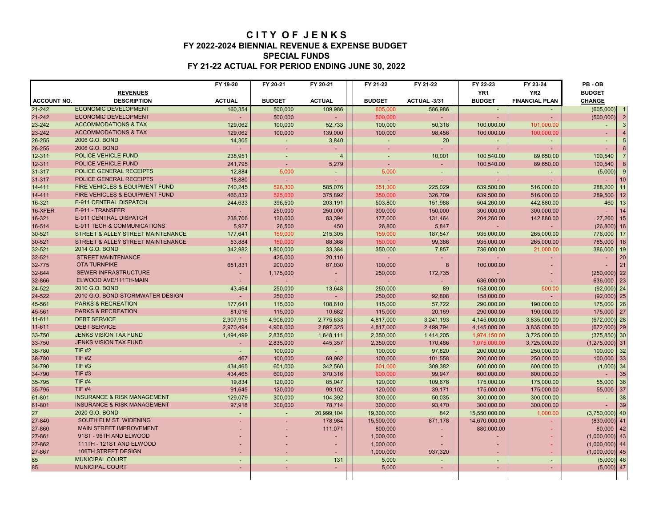### **C I T Y O F J E N K S FY 2022-2024 BIENNIAL REVENUE & EXPENSE BUDGET SPECIAL FUNDS FY 21-22 ACTUAL FOR PERIOD ENDING JUNE 30, 2022**

|                    |                                        | FY 19-20      | FY 20-21       | FY 20-21                 | FY 21-22       | FY 21-22    | FY 22-23        | FY 23-24              | PB-OB                       |
|--------------------|----------------------------------------|---------------|----------------|--------------------------|----------------|-------------|-----------------|-----------------------|-----------------------------|
|                    | <b>REVENUES</b>                        |               |                |                          |                |             | YR <sub>1</sub> | YR <sub>2</sub>       | <b>BUDGET</b>               |
| <b>ACCOUNT NO.</b> | <b>DESCRIPTION</b>                     | <b>ACTUAL</b> | <b>BUDGET</b>  | <b>ACTUAL</b>            | <b>BUDGET</b>  | ACTUAL-3/31 | <b>BUDGET</b>   | <b>FINANCIAL PLAN</b> | <b>CHANGE</b>               |
| $21 - 242$         | <b>ECONOMIC DEVELOPMENT</b>            | 160,354       | 500,000        | 109,986                  | 605,000        | 586,986     |                 |                       | (605,000)                   |
| 21-242             | <b>ECONOMIC DEVELOPMENT</b>            |               | 500.000        |                          | 500,000        |             |                 |                       | $\overline{2}$<br>(500,000) |
| 23-242             | <b>ACCOMMODATIONS &amp; TAX</b>        | 129,062       | 100,000        | 52,733                   | 100,000        | 50,318      | 100,000.00      | 101.000.00            |                             |
| 23-242             | <b>ACCOMMODATIONS &amp; TAX</b>        | 129,062       | 100,000        | 139,000                  | 100,000        | 98,456      | 100,000.00      | 100,000.00            |                             |
| 26-255             | 2006 G.O. BOND                         | 14,305        | $\blacksquare$ | 3,840                    |                | 20          |                 | $\blacksquare$        |                             |
| 26-255             | 2006 G.O. BOND                         |               |                |                          |                |             |                 |                       |                             |
| 12-311             | <b>POLICE VEHICLE FUND</b>             | 238,951       |                | $\boldsymbol{4}$         | $\overline{a}$ | 10,001      | 100,540.00      | 89,650.00             | 100,540                     |
| 12-311             | POLICE VEHICLE FUND                    | 241,795       |                | 5,279                    |                |             | 100,540.00      | 89,650.00             | 100,540                     |
| 31-317             | POLICE GENERAL RECEIPTS                | 12,884        | 5,000          |                          | 5.000          |             |                 |                       | (5,000)                     |
| 31-317             | POLICE GENERAL RECEIPTS                | 18,880        |                |                          |                |             |                 |                       | 10                          |
| 14-411             | FIRE VEHICLES & EQUIPMENT FUND         | 740,245       | 526,300        | 585,076                  | 351,300        | 225,029     | 639,500.00      | 516,000.00            | 288,200<br>11               |
| 14-411             | FIRE VEHICLES & EQUIPMENT FUND         | 466,832       | 525,000        | 375,892                  | 350,000        | 326,709     | 639,500.00      | 516,000.00            | 12<br>289,500               |
| 16-321             | E-911 CENTRAL DISPATCH                 | 244,633       | 396,500        | 203,191                  | 503,800        | 151,988     | 504,260.00      | 442,880.00            | 13<br>460                   |
| 16-XFER            | E-911 - TRANSFER                       |               | 250,000        | 250,000                  | 300,000        | 150,000     | 300.000.00      | 300,000.00            | 14                          |
| 16-321             | E-911 CENTRAL DISPATCH                 | 238,706       | 120,000        | 83,394                   | 177,000        | 131,464     | 204,260.00      | 142,880.00            | 15<br>27,260                |
| 16-514             | E-911 TECH & COMMUNICATIONS            | 5,927         | 26,500         | 450                      | 26,800         | 5,847       |                 |                       | 16<br>(26, 800)             |
| 30-521             | STREET & ALLEY STREET MAINTENANCE      | 177,641       | 159,000        | 215,305                  | 159,000        | 187,547     | 935,000.00      | 265,000.00            | 776,000<br>17               |
| 30-521             | STREET & ALLEY STREET MAINTENANCE      | 53,884        | 150,000        | 88,368                   | 150,000        | 99,386      | 935,000.00      | 265,000.00            | 18<br>785,000               |
| 32-521             | 2014 G.O. BOND                         | 342,982       | 1,800,000      | 33,384                   | 350,000        | 7,857       | 736,000.00      | 21,000.00             | 386,000<br>19               |
| 32-521             | <b>STREET MAINTENANCE</b>              |               | 425,000        | 20,110                   | $\sim$         |             |                 |                       | 20<br>÷.                    |
| 32-775             | <b>OTA TURNPIKE</b>                    | 651,831       | 200,000        | 87,030                   | 100.000        | ε           | 100.000.00      |                       | 21                          |
| 32-844             | <b>SEWER INFRASTRUCTURE</b>            |               | 1,175,000      |                          | 250,000        | 172,735     |                 |                       | $(250,000)$ 22              |
| 32-866             | ELWOOD AVE/111TH-MAIN                  |               |                |                          | ÷.             |             | 636,000.00      |                       | 23<br>636,000               |
| 24-522             | 2010 G.O. BOND                         | 43,464        | 250,000        | 13,648                   | 250,000        | 89          | 158,000.00      | 500.00                | (92,000)<br>24              |
| 24-522             | 2010 G.O. BOND STORMWATER DESIGN       |               | 250,000        |                          | 250,000        | 92,808      | 158,000.00      |                       | 25<br>(92,000)              |
| 45-561             | <b>PARKS &amp; RECREATION</b>          | 177,641       | 115,000        | 108,610                  | 115,000        | 57,722      | 290,000.00      | 190,000.00            | 26<br>175,000               |
| 45-561             | <b>PARKS &amp; RECREATION</b>          | 81,016        | 115,000        | 10,682                   | 115,000        | 20,169      | 290.000.00      | 190,000.00            | 27<br>175,000               |
| 11-611             | <b>DEBT SERVICE</b>                    | 2,907,915     | 4,906,000      | 2,775,633                | 4,817,000      | 3,241,193   | 4,145,000.00    | 3,835,000.00          | 28<br>(672,000)             |
| 11-611             | <b>DEBT SERVICE</b>                    | 2,970,494     | 4,906,000      | 2,897,325                | 4,817,000      | 2,499,794   | 4,145,000.00    | 3,835,000.00          | 29<br>(672,000)             |
| 33-750             | <b>JENKS VISION TAX FUND</b>           | 1,494,499     | 2,835,000      | 1,648,111                | 2,350,000      | 1,414,205   | 1,974,150.00    | 3,725,000.00          | 30<br>(375, 850)            |
| 33-750             | <b>JENKS VISION TAX FUND</b>           |               | 2,835,000      | 445,357                  | 2,350,000      | 170,486     | 1,075,000.00    | 3,725,000.00          | 31<br>(1, 275, 000)         |
| 38-780             | <b>TIF #2</b>                          |               | 100,000        |                          | 100,000        | 97,820      | 200,000.00      | 250,000.00            | 32<br>100,000               |
| 38-780             | <b>TIF #2</b>                          | 467           | 100,000        | 69,962                   | 100,000        | 101,558     | 200,000.00      | 250,000.00            | 33<br>100,000               |
| 34-790             | <b>TIF #3</b>                          | 434,465       | 601,000        | 342,560                  | 601,000        | 309,382     | 600,000.00      | 600,000.00            | 34<br>(1,000)               |
| 34-790             | <b>TIF #3</b>                          | 434,465       | 600.000        | 370,316                  | 600.000        | 99,947      | 600,000.00      | 600.000.00            | 35                          |
| 35-795             | <b>TIF #4</b>                          | 19,834        | 120,000        | 85,047                   | 120,000        | 109,676     | 175,000.00      | 175,000.00            | 55,000<br>36                |
| 35-795             | <b>TIF #4</b>                          | 91,645        | 120,000        | 99,102                   | 120,000        | 39,171      | 175,000.00      | 175,000.00            | 37<br>55,000                |
| 61-801             | <b>INSURANCE &amp; RISK MANAGEMENT</b> | 129,079       | 300,000        | 104,392                  | 300,000        | 50,035      | 300,000.00      | 300,000.00            | 38<br>$\sim$                |
| 61-801             | <b>INSURANCE &amp; RISK MANAGEMENT</b> | 97,918        | 300,000        | 78,714                   | 300,000        | 93,470      | 300,000.00      | 300,000.00            | 39                          |
| 27                 | 2020 G.O. BOND                         | ٠             | $\blacksquare$ | 20,999,104               | 19,300,000     | 842         | 15,550,000.00   | 1,000.00              | 40<br>(3,750,000)           |
| 27-840             | SOUTH ELM ST. WIDENING                 |               |                | 178,984                  | 15,500,000     | 871,178     | 14,670,000.00   |                       | 41<br>(830,000)             |
| 27-860             | <b>MAIN STREET IMPROVEMENT</b>         |               |                | 111,071                  | 800,000        |             | 880,000.00      |                       | 42<br>80,000                |
| 27-861             | 91ST - 96TH AND ELWOOD                 |               |                |                          | 1,000,000      |             |                 |                       | $(1,000,000)$ 43            |
| 27-862             | 111TH - 121ST AND ELWOOD               |               |                | $\overline{\phantom{a}}$ | 1,000,000      |             |                 |                       | (1,000,000)<br>44           |
| 27-867             | 106TH STREET DESIGN                    |               |                | ٠                        | 1,000,000      | 937,320     |                 |                       | 45<br>(1,000,000)           |
| 85                 | <b>MUNICIPAL COURT</b>                 |               |                | 131                      | 5,000          |             |                 |                       | 46<br>(5,000)               |
| 85                 | <b>MUNICIPAL COURT</b>                 |               |                | ÷.                       | 5,000          |             |                 |                       | $(5,000)$ 47                |
|                    |                                        |               |                |                          |                |             |                 |                       |                             |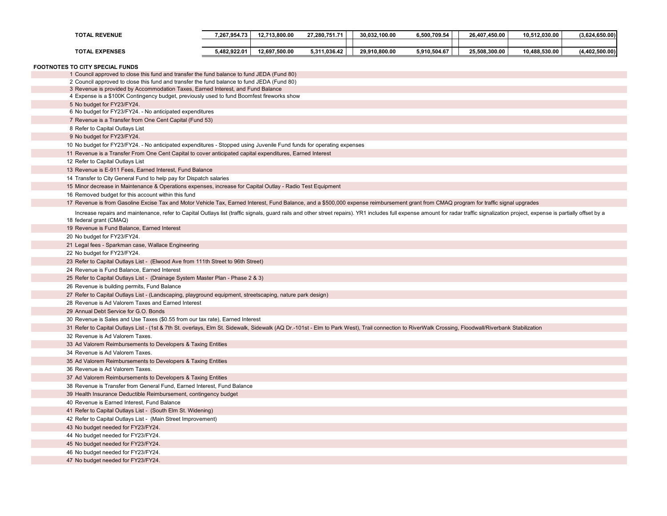| <b>TOTAL REVENUE</b>                                                                                                                                                                                                                                      | 7,267,954.73 | 12,713,800.00 | 27,280,751.71 | 30,032,100.00 | 6,500,709.54 | 26,407,450.00 | 10,512,030.00 | (3,624,650.00) |
|-----------------------------------------------------------------------------------------------------------------------------------------------------------------------------------------------------------------------------------------------------------|--------------|---------------|---------------|---------------|--------------|---------------|---------------|----------------|
| <b>TOTAL EXPENSES</b>                                                                                                                                                                                                                                     | 5,482,922.01 | 12,697,500.00 | 5,311,036.42  | 29,910,800.00 | 5,910,504.67 | 25,508,300.00 | 10,488,530.00 | (4,402,500.00) |
| FOOTNOTES TO CITY SPECIAL FUNDS                                                                                                                                                                                                                           |              |               |               |               |              |               |               |                |
| 1 Council approved to close this fund and transfer the fund balance to fund JEDA (Fund 80)                                                                                                                                                                |              |               |               |               |              |               |               |                |
| 2 Council approved to close this fund and transfer the fund balance to fund JEDA (Fund 80)                                                                                                                                                                |              |               |               |               |              |               |               |                |
| 3 Revenue is provided by Accommodation Taxes, Earned Interest, and Fund Balance<br>4 Expense is a \$100K Contingency budget, previously used to fund Boomfest fireworks show                                                                              |              |               |               |               |              |               |               |                |
| 5 No budget for FY23/FY24.                                                                                                                                                                                                                                |              |               |               |               |              |               |               |                |
| 6 No budget for FY23/FY24. - No anticipated expenditures                                                                                                                                                                                                  |              |               |               |               |              |               |               |                |
| 7 Revenue is a Transfer from One Cent Capital (Fund 53)                                                                                                                                                                                                   |              |               |               |               |              |               |               |                |
| 8 Refer to Capital Outlays List                                                                                                                                                                                                                           |              |               |               |               |              |               |               |                |
| 9 No budget for FY23/FY24.                                                                                                                                                                                                                                |              |               |               |               |              |               |               |                |
| 10 No budget for FY23/FY24. - No anticipated expenditures - Stopped using Juvenile Fund funds for operating expenses                                                                                                                                      |              |               |               |               |              |               |               |                |
| 11 Revenue is a Transfer From One Cent Capital to cover anticipated capital expenditures, Earned Interest                                                                                                                                                 |              |               |               |               |              |               |               |                |
| 12 Refer to Capital Outlays List                                                                                                                                                                                                                          |              |               |               |               |              |               |               |                |
| 13 Revenue is E-911 Fees, Earned Interest, Fund Balance                                                                                                                                                                                                   |              |               |               |               |              |               |               |                |
| 14 Transfer to City General Fund to help pay for Dispatch salaries                                                                                                                                                                                        |              |               |               |               |              |               |               |                |
| 15 Minor decrease in Maintenance & Operations expenses, increase for Capital Outlay - Radio Test Equipment                                                                                                                                                |              |               |               |               |              |               |               |                |
| 16 Removed budget for this account within this fund                                                                                                                                                                                                       |              |               |               |               |              |               |               |                |
| 17 Revenue is from Gasoline Excise Tax and Motor Vehicle Tax, Earned Interest, Fund Balance, and a \$500,000 expense reimbursement grant from CMAQ program for traffic signal upgrades                                                                    |              |               |               |               |              |               |               |                |
| Increase repairs and maintenance, refer to Capital Outlays list (traffic signals, guard rails and other street repairs). YR1 includes full expense amount for radar traffic signalization project, expense is partially offset<br>18 federal grant (CMAQ) |              |               |               |               |              |               |               |                |
| 19 Revenue is Fund Balance, Earned Interest                                                                                                                                                                                                               |              |               |               |               |              |               |               |                |
| 20 No budget for FY23/FY24.                                                                                                                                                                                                                               |              |               |               |               |              |               |               |                |
| 21 Legal fees - Sparkman case, Wallace Engineering                                                                                                                                                                                                        |              |               |               |               |              |               |               |                |
| 22 No budget for FY23/FY24.                                                                                                                                                                                                                               |              |               |               |               |              |               |               |                |
| 23 Refer to Capital Outlays List - (Elwood Ave from 111th Street to 96th Street)                                                                                                                                                                          |              |               |               |               |              |               |               |                |
| 24 Revenue is Fund Balance, Earned Interest                                                                                                                                                                                                               |              |               |               |               |              |               |               |                |
| 25 Refer to Capital Outlays List - (Drainage System Master Plan - Phase 2 & 3)                                                                                                                                                                            |              |               |               |               |              |               |               |                |
| 26 Revenue is building permits, Fund Balance                                                                                                                                                                                                              |              |               |               |               |              |               |               |                |
| 27 Refer to Capital Outlays List - (Landscaping, playground equipment, streetscaping, nature park design)                                                                                                                                                 |              |               |               |               |              |               |               |                |
| 28 Revenue is Ad Valorem Taxes and Earned Interest                                                                                                                                                                                                        |              |               |               |               |              |               |               |                |
| 29 Annual Debt Service for G.O. Bonds                                                                                                                                                                                                                     |              |               |               |               |              |               |               |                |
| 30 Revenue is Sales and Use Taxes (\$0.55 from our tax rate), Earned Interest                                                                                                                                                                             |              |               |               |               |              |               |               |                |
| 31 Refer to Capital Outlays List - (1st & 7th St. overlays, Elm St. Sidewalk, Sidewalk (AQ Dr.-101st - Elm to Park West), Trail connection to RiverWalk Crossing, Floodwall/Riverbank Stabilization                                                       |              |               |               |               |              |               |               |                |
| 32 Revenue is Ad Valorem Taxes.                                                                                                                                                                                                                           |              |               |               |               |              |               |               |                |
| 33 Ad Valorem Reimbursements to Developers & Taxing Entities                                                                                                                                                                                              |              |               |               |               |              |               |               |                |
| 34 Revenue is Ad Valorem Taxes.                                                                                                                                                                                                                           |              |               |               |               |              |               |               |                |
| 35 Ad Valorem Reimbursements to Developers & Taxing Entities                                                                                                                                                                                              |              |               |               |               |              |               |               |                |
| 36 Revenue is Ad Valorem Taxes.                                                                                                                                                                                                                           |              |               |               |               |              |               |               |                |
| 37 Ad Valorem Reimbursements to Developers & Taxing Entities                                                                                                                                                                                              |              |               |               |               |              |               |               |                |
| 38 Revenue is Transfer from General Fund, Earned Interest, Fund Balance                                                                                                                                                                                   |              |               |               |               |              |               |               |                |
| 39 Health Insurance Deductible Reimbursement, contingency budget                                                                                                                                                                                          |              |               |               |               |              |               |               |                |
| 40 Revenue is Earned Interest, Fund Balance                                                                                                                                                                                                               |              |               |               |               |              |               |               |                |
| 41 Refer to Capital Outlays List - (South Elm St. Widening)                                                                                                                                                                                               |              |               |               |               |              |               |               |                |
| 42 Refer to Capital Outlays List - (Main Street Improvement)                                                                                                                                                                                              |              |               |               |               |              |               |               |                |
| 43 No budget needed for FY23/FY24.                                                                                                                                                                                                                        |              |               |               |               |              |               |               |                |
| 44 No budget needed for FY23/FY24.                                                                                                                                                                                                                        |              |               |               |               |              |               |               |                |
| 45 No budget needed for FY23/FY24.                                                                                                                                                                                                                        |              |               |               |               |              |               |               |                |
| 46 No budget needed for FY23/FY24.                                                                                                                                                                                                                        |              |               |               |               |              |               |               |                |
| 47 No budget needed for FY23/FY24.                                                                                                                                                                                                                        |              |               |               |               |              |               |               |                |
|                                                                                                                                                                                                                                                           |              |               |               |               |              |               |               |                |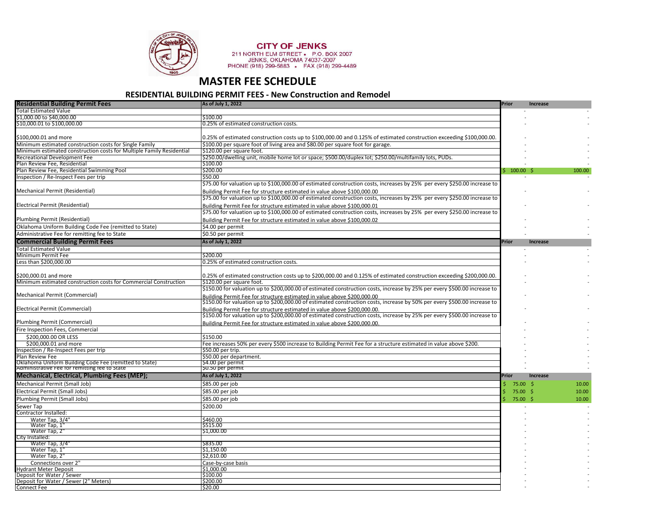

**CITY OF JENKS**<br>211 NORTH ELM STREET • P.O. BOX 2007<br>JENKS, OKLAHOMA 74037-2007<br>PHONE (918) 299-5883 • FAX (918) 299-4489

## **MASTER FEE SCHEDULE**

#### **RESIDENTIAL BUILDING PERMIT FEES - New Construction and Remodel**

| <b>Residential Building Permit Fees</b>                                                                 | As of July 1, 2022                                                                                                                                                                                    | <b>Prior</b> | <b>Increase</b> |        |
|---------------------------------------------------------------------------------------------------------|-------------------------------------------------------------------------------------------------------------------------------------------------------------------------------------------------------|--------------|-----------------|--------|
| <b>Total Estimated Value</b>                                                                            |                                                                                                                                                                                                       |              |                 |        |
| \$1,000,00 to \$40,000,00                                                                               | \$100.00                                                                                                                                                                                              |              |                 |        |
| \$10,000.01 to \$100,000.00                                                                             | 0.25% of estimated construction costs.                                                                                                                                                                |              |                 |        |
|                                                                                                         |                                                                                                                                                                                                       |              |                 |        |
| \$100,000.01 and more                                                                                   | 0.25% of estimated construction costs up to \$100,000.00 and 0.125% of estimated construction exceeding \$100,000.00.                                                                                 |              |                 |        |
| Minimum estimated construction costs for Single Family                                                  | \$100.00 per square foot of living area and \$80.00 per square foot for garage.                                                                                                                       |              |                 |        |
| Minimum estimated construction costs for Multiple Family Residential                                    | \$120.00 per square foot.                                                                                                                                                                             |              |                 |        |
| <b>Recreational Development Fee</b>                                                                     | .5250.00/dwelling unit, mobile home lot or space; \$500.00/duplex lot; \$250.00/multifamily lots, PUDs                                                                                                |              |                 |        |
| Plan Review Fee, Residential                                                                            | \$100.00                                                                                                                                                                                              |              |                 |        |
| Plan Review Fee, Residential Swimming Pool                                                              | \$200.00                                                                                                                                                                                              | \$ 100.00 \$ |                 | 100.00 |
| Inspection / Re-Inspect Fees per trip                                                                   | \$50.00                                                                                                                                                                                               |              |                 |        |
|                                                                                                         | \$75.00 for valuation up to \$100,000.00 of estimated construction costs, increases by 25% per every \$250.00 increase to                                                                             |              |                 |        |
| Mechanical Permit (Residential)                                                                         | Building Permit Fee for structure estimated in value above \$100,000.00                                                                                                                               |              |                 |        |
|                                                                                                         | \$75.00 for valuation up to \$100,000.00 of estimated construction costs, increases by 25% per every \$250.00 increase to                                                                             |              |                 |        |
| Electrical Permit (Residential)                                                                         | Building Permit Fee for structure estimated in value above \$100,000.01                                                                                                                               |              |                 |        |
|                                                                                                         | \$75.00 for valuation up to \$100,000.00 of estimated construction costs, increases by 25% per every \$250.00 increase to                                                                             |              |                 |        |
| Plumbing Permit (Residential)                                                                           | Building Permit Fee for structure estimated in value above \$100,000.02                                                                                                                               |              |                 |        |
| Oklahoma Uniform Building Code Fee (remitted to State)                                                  | \$4.00 per permit                                                                                                                                                                                     |              |                 |        |
| Administrative Fee for remitting fee to State                                                           | \$0.50 per permit                                                                                                                                                                                     |              |                 |        |
| <b>Commercial Building Permit Fees</b>                                                                  | As of July 1, 2022                                                                                                                                                                                    | Prior        | Increase        |        |
| <b>Total Estimated Value</b>                                                                            |                                                                                                                                                                                                       |              |                 |        |
| Minimum Permit Fee                                                                                      | \$200.00                                                                                                                                                                                              |              |                 |        |
| Less than \$200,000.00                                                                                  | 0.25% of estimated construction costs.                                                                                                                                                                |              |                 |        |
|                                                                                                         |                                                                                                                                                                                                       |              |                 |        |
| \$200,000.01 and more                                                                                   | 0.25% of estimated construction costs up to \$200,000.00 and 0.125% of estimated construction exceeding \$200,000.00.                                                                                 |              |                 |        |
| Minimum estimated construction costs for Commercial Construction                                        | \$120.00 per square foot.                                                                                                                                                                             |              |                 |        |
|                                                                                                         | \$150.00 for valuation up to \$200,000.00 of estimated construction costs, increase by 25% per every \$500.00 increase to                                                                             |              |                 |        |
| <b>Mechanical Permit (Commercial)</b>                                                                   | Building Permit Fee for structure estimated in value above \$200.000.00<br>\$150.00 for valuation up to \$200,000.00 of estimated construction costs, increase by 50% per every \$500.00 increase to  |              |                 |        |
|                                                                                                         |                                                                                                                                                                                                       |              |                 |        |
| Electrical Permit (Commercial)                                                                          | Building Permit Fee for structure estimated in value above \$200,000.00.<br>\$150.00 for valuation up to \$200,000.00 of estimated construction costs, increase by 25% per every \$500.00 increase to |              |                 |        |
| Plumbing Permit (Commercial)                                                                            |                                                                                                                                                                                                       |              |                 |        |
|                                                                                                         | Building Permit Fee for structure estimated in value above \$200,000.00.                                                                                                                              |              |                 |        |
| Fire Inspection Fees, Commercial                                                                        |                                                                                                                                                                                                       |              |                 |        |
| \$200,000.00 OR LESS                                                                                    | \$150.00                                                                                                                                                                                              |              |                 |        |
| \$200,000.01 and more<br>Inspection / Re-Inspect Fees per trip                                          | Fee increases 50% per every \$500 increase to Building Permit Fee for a structure estimated in value above \$200.<br>\$50.00 per trip.                                                                |              |                 |        |
| Plan Review Fee                                                                                         | \$50.00 per department.                                                                                                                                                                               |              |                 |        |
|                                                                                                         | \$4.00 per permit                                                                                                                                                                                     |              |                 |        |
| Oklahoma Uniform Building Code Fee (remitted to State)<br>Administrative Fee for remitting fee to State | \$0.50 per permit                                                                                                                                                                                     |              |                 |        |
| Mechanical, Electrical, Plumbing Fees (MEP);                                                            | As of July 1, 2022                                                                                                                                                                                    | Prior        | <b>Increase</b> |        |
| Mechanical Permit (Small Job)                                                                           | \$85.00 per job                                                                                                                                                                                       | 75.00 \$     |                 | 10.00  |
| Electrical Permit (Small Jobs)                                                                          | \$85.00 per job                                                                                                                                                                                       | 75.00%       |                 | 10.00  |
| Plumbing Permit (Small Jobs)                                                                            | \$85.00 per job                                                                                                                                                                                       | 75.00 \$     |                 | 10.00  |
| Sewer Tap                                                                                               | \$200.00                                                                                                                                                                                              |              |                 |        |
| Contractor Installed:                                                                                   |                                                                                                                                                                                                       |              |                 |        |
| Water Tap, 3/4"                                                                                         | \$460.00                                                                                                                                                                                              |              |                 |        |
| Water Tap, 1'                                                                                           | \$515.00                                                                                                                                                                                              |              |                 |        |
| Water Tap. 2'                                                                                           | \$1,000.00                                                                                                                                                                                            |              |                 |        |
| City Installed:                                                                                         |                                                                                                                                                                                                       |              |                 |        |
| Water Tap, 3/4                                                                                          | \$835.00                                                                                                                                                                                              |              |                 |        |
| Water Tap, 1'                                                                                           | \$1,150.00                                                                                                                                                                                            |              |                 |        |
| Water Tap, 2'                                                                                           | S2.610.00                                                                                                                                                                                             |              |                 |        |
| Connections over 2"                                                                                     | Case-by-case basis<br>\$1,000.00                                                                                                                                                                      |              |                 |        |
| <b>Hydrant Meter Deposit</b><br>Deposit for Water / Sewer                                               | \$100.00                                                                                                                                                                                              |              |                 |        |
| Deposit for Water / Sewer (2" Meters)                                                                   | \$200.00                                                                                                                                                                                              |              |                 |        |
| <b>Connect Fee</b>                                                                                      | \$20.00                                                                                                                                                                                               |              |                 |        |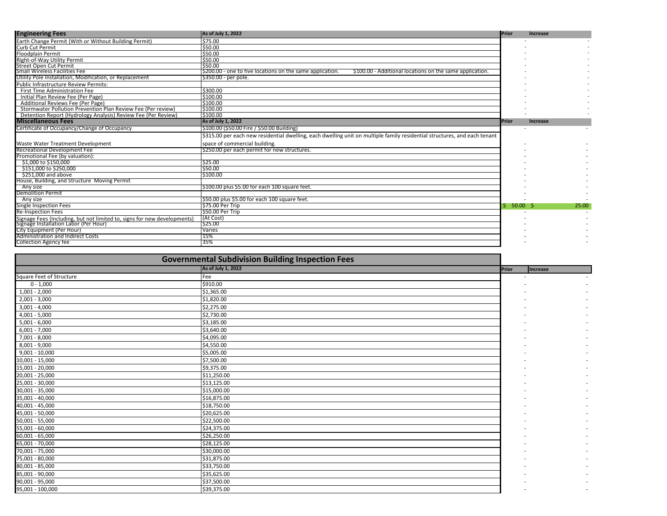| <b>Engineering Fees</b>                                                  | As of July 1, 2022                                                                                                        | Prior         | <b>Increase</b> |       |
|--------------------------------------------------------------------------|---------------------------------------------------------------------------------------------------------------------------|---------------|-----------------|-------|
| Earth Change Permit (With or Without Building Permit)                    | \$75.00                                                                                                                   |               |                 |       |
| <b>Curb Cut Permit</b>                                                   | \$50.00                                                                                                                   |               |                 |       |
| <b>Floodplain Permit</b>                                                 | \$50.00                                                                                                                   |               |                 |       |
| Right-of-Way Utility Permit                                              | \$50.00                                                                                                                   |               |                 |       |
| <b>Street Open Cut Permit</b>                                            | \$50.00                                                                                                                   |               |                 |       |
| Small Wireless Facilities Fee                                            | \$200.00 - one to five locations on the same application.<br>\$100.00 - Additional locations on the same application.     |               |                 |       |
| Utility Pole Installation, Modification, or Replacement                  | \$350.00 - per pole.                                                                                                      |               |                 |       |
| <b>Public Infrastructure Review Permits:</b>                             |                                                                                                                           |               |                 |       |
| First Time Administration Fee                                            | \$300.00                                                                                                                  |               |                 |       |
| Initial Plan Review Fee (Per Page)                                       | \$100.00                                                                                                                  |               |                 |       |
| Additional Reviews Fee (Per Page)                                        | \$100.00                                                                                                                  |               |                 |       |
| Stormwater Pollution Prevention Plan Review Fee (Per review)             | \$100.00                                                                                                                  |               |                 |       |
| Detention Report (Hydrology Analysis) Review Fee (Per Review)            | \$100.00                                                                                                                  |               |                 |       |
| <b>Miscellaneous Fees</b>                                                | As of July 1, 2022                                                                                                        | <b>IPrior</b> | <b>Increase</b> |       |
| Certificate of Occupancy/Change of Occupancy                             | \$100.00 (\$50.00 Fire / \$50.00 Building)                                                                                |               |                 |       |
|                                                                          | \$315.00 per each new residential dwelling, each dwelling unit on multiple family residential structures, and each tenant |               |                 |       |
| Waste Water Treatment Development                                        | space of commercial building.                                                                                             |               |                 |       |
| Recreational Development Fee                                             | \$250.00 per each permit for new structures.                                                                              |               |                 |       |
| Promotional Fee (by valuation):                                          |                                                                                                                           |               |                 |       |
| \$1,000 to \$150,000                                                     | \$25.00                                                                                                                   |               |                 |       |
| \$151,000 to \$250,000                                                   | \$50.00                                                                                                                   |               |                 |       |
| \$251,000 and above                                                      | S100.00                                                                                                                   |               |                 |       |
| House, Building, and Structure Moving Permit                             |                                                                                                                           |               |                 |       |
| Any size                                                                 | \$100.00 plus \$5.00 for each 100 square feet.                                                                            |               |                 |       |
| <b>Demolition Permit</b>                                                 |                                                                                                                           |               |                 |       |
| Any size                                                                 | \$50.00 plus \$5.00 for each 100 square feet.                                                                             |               |                 |       |
| <b>Single Inspection Fees</b>                                            | S75.00 Per Trip                                                                                                           | $50.00$ \$    |                 | 25.00 |
| <b>Re-Inspection Fees</b>                                                | S50.00 Per Trip                                                                                                           |               |                 |       |
| Signage Fees (Including, but not limited to, signs for new developments) | (At Cost)                                                                                                                 |               |                 |       |
| Signage Installation Labor (Per Hour)                                    | \$25.00                                                                                                                   |               |                 |       |
| City Equipment (Per Hour)                                                | Varies                                                                                                                    |               |                 |       |
| <b>Administration and Indirect Costs</b>                                 | 15%                                                                                                                       |               |                 |       |
| <b>Collection Agency fee</b>                                             | 35%                                                                                                                       |               |                 |       |

|                          | <b>Governmental Subdivision Building Inspection Fees</b> |       |                 |
|--------------------------|----------------------------------------------------------|-------|-----------------|
|                          | As of July 1, 2022                                       | Prior | <b>Increase</b> |
| Square Feet of Structure | Fee                                                      |       |                 |
| $0 - 1,000$              | \$910.00                                                 |       |                 |
| $1,001 - 2,000$          | \$1,365.00                                               |       |                 |
| $2,001 - 3,000$          | \$1,820.00                                               |       |                 |
| $3,001 - 4,000$          | \$2,275.00                                               |       |                 |
| $4,001 - 5,000$          | \$2,730.00                                               |       |                 |
| $5,001 - 6,000$          | \$3,185.00                                               |       |                 |
| $6,001 - 7,000$          | \$3,640.00                                               |       |                 |
| 7,001 - 8,000            | \$4,095.00                                               |       |                 |
| 8,001 - 9,000            | \$4,550.00                                               |       |                 |
| $9,001 - 10,000$         | \$5,005.00                                               |       |                 |
| 10,001 - 15,000          | \$7,500.00                                               |       |                 |
| 15,001 - 20,000          | \$9,375.00                                               |       |                 |
| 20,001 - 25,000          | \$11,250.00                                              |       |                 |
| 25,001 - 30,000          | \$13,125.00                                              |       |                 |
| 30,001 - 35,000          | \$15,000.00                                              |       |                 |
| 35,001 - 40,000          | \$16,875.00                                              |       |                 |
| 40,001 - 45,000          | \$18,750.00                                              |       |                 |
| 45,001 - 50,000          | \$20,625.00                                              |       |                 |
| 50,001 - 55,000          | \$22,500.00                                              |       |                 |
| 55,001 - 60,000          | \$24,375.00                                              |       |                 |
| 60,001 - 65,000          | \$26,250.00                                              |       |                 |
| 65,001 - 70,000          | \$28,125.00                                              |       |                 |
| 70,001 - 75,000          | \$30,000.00                                              |       |                 |
| 75,001 - 80,000          | \$31,875.00                                              |       |                 |
| 80,001 - 85,000          | \$33,750.00                                              |       |                 |
| 85,001 - 90,000          | \$35,625.00                                              |       |                 |
| 90,001 - 95,000          | \$37,500.00                                              |       |                 |
| 95,001 - 100,000         | \$39,375.00                                              |       |                 |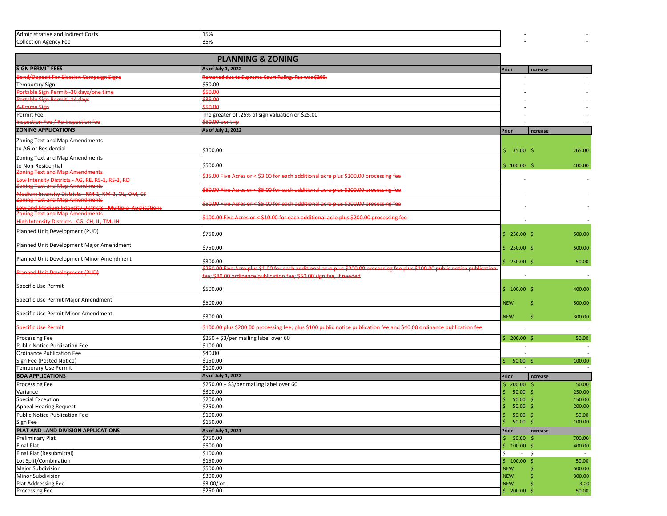| Adm<br>urect Costs .<br>iinistrative and |  |  |
|------------------------------------------|--|--|
| $\sim$<br>הוד־                           |  |  |

|                                                                                                      | <b>PLANNING &amp; ZONING</b>                                                                                                    |                                    |                 |                  |
|------------------------------------------------------------------------------------------------------|---------------------------------------------------------------------------------------------------------------------------------|------------------------------------|-----------------|------------------|
| <b>SIGN PERMIT FEES</b>                                                                              | As of July 1, 2022                                                                                                              | Prior                              | <b>Increase</b> |                  |
| ond/Deposit For Election Campaign Signs                                                              | emoved due to Supreme Court Ruling. Fee was \$200.                                                                              |                                    |                 |                  |
| <b>Femporary Sign</b>                                                                                | \$50.00                                                                                                                         |                                    |                 |                  |
| <b>Ortable Sign Permit-30 days/one time</b>                                                          | \$50.00                                                                                                                         |                                    |                 |                  |
| Portable Sign Permit-14 days                                                                         | \$35.00                                                                                                                         |                                    |                 |                  |
| <b>+Frame Sign</b>                                                                                   | 50.00                                                                                                                           |                                    |                 |                  |
| Permit Fee                                                                                           | The greater of .25% of sign valuation or \$25.00                                                                                |                                    |                 |                  |
| nspection Fee / Re-inspection fee                                                                    | 50.00 per trip                                                                                                                  |                                    |                 |                  |
| <b>ZONING APPLICATIONS</b>                                                                           | As of July 1, 2022                                                                                                              | Prior                              | <b>Increase</b> |                  |
| Zoning Text and Map Amendments                                                                       |                                                                                                                                 |                                    |                 |                  |
| to AG or Residential                                                                                 | \$300.00                                                                                                                        | 35.00%<br>Ś.                       |                 | 265.00           |
| Zoning Text and Map Amendments                                                                       |                                                                                                                                 |                                    |                 |                  |
| o Non-Residential                                                                                    | \$500.00                                                                                                                        | \$100.00\$                         |                 | 400.00           |
| oning Text and Map Amendments                                                                        |                                                                                                                                 |                                    |                 |                  |
| ow Intensity Districts AG, RE, RS 1, RS 3, RD                                                        | 35.00 Five Acres or < \$3.00 for each additional acre plus \$200.00 processing fee                                              |                                    |                 |                  |
| oning Text and Map Amendments                                                                        | 50.00 Five Acres or < \$5.00 for each additional acre plus \$200.00 processing fee                                              |                                    |                 |                  |
| Medium Intensity Districts - RM-1, RM-2, OL, OM, CS                                                  |                                                                                                                                 |                                    |                 |                  |
| <b>Oning Text and Map Amendments</b>                                                                 | 50.00 Five Acres or < \$5.00 for each additional acre plus \$200.00 processing fee                                              |                                    |                 |                  |
| d Medium Intensity Districts<br><b>Multiple Applications</b><br><b>Oning Text and Map Amendments</b> |                                                                                                                                 |                                    |                 |                  |
| High Intensity Districts - CG. CH. IL. TM. IH                                                        | $100.00$ Five Acres or $\leq$ \$10.00 for each additional acre plus \$200.00 processing fee                                     |                                    |                 |                  |
| Planned Unit Development (PUD)                                                                       |                                                                                                                                 |                                    |                 |                  |
|                                                                                                      | \$750.00                                                                                                                        | \$250.00\$                         |                 | 500.00           |
| Planned Unit Development Major Amendment                                                             |                                                                                                                                 |                                    |                 |                  |
|                                                                                                      | \$750.00                                                                                                                        | \$250.00\$                         |                 | 500.00           |
| Planned Unit Development Minor Amendment                                                             | \$300.00                                                                                                                        | \$250.00\$                         |                 | 50.00            |
|                                                                                                      | .<br>250.00 Five Acre plus \$1.00 for each additional acre plus \$200.00 processing fee plus \$100.00 public notice publication |                                    |                 |                  |
| <b>Planned Unit Development (PUD)</b>                                                                | e: \$40.00 ordinance publication fee: \$50.00 sign fee, if needed                                                               |                                    |                 | $\sim$           |
| Specific Use Permit                                                                                  |                                                                                                                                 |                                    |                 |                  |
|                                                                                                      | \$500.00                                                                                                                        | \$100.00\$                         |                 | 400.00           |
| Specific Use Permit Major Amendment                                                                  | \$500.00                                                                                                                        | <b>NEW</b>                         | Ś               | 500.00           |
|                                                                                                      |                                                                                                                                 |                                    |                 |                  |
| Specific Use Permit Minor Amendment                                                                  | \$300.00                                                                                                                        | <b>NEW</b>                         | Ś               | 300.00           |
|                                                                                                      |                                                                                                                                 |                                    |                 |                  |
| <b>Specific Use Permit</b>                                                                           | .<br>100.00 plus \$200.00 processing fee; plus \$100 public notice publication fee and \$40.00 ordinance publication fee        |                                    |                 |                  |
| Processing Fee                                                                                       | \$250 + \$3/per mailing label over 60                                                                                           | \$200.00\$                         |                 | 50.00            |
| Public Notice Publication Fee                                                                        | \$100.00                                                                                                                        |                                    |                 | $\sim$           |
| <b>Ordinance Publication Fee</b>                                                                     | \$40.00                                                                                                                         |                                    |                 |                  |
| Sign Fee (Posted Notice)                                                                             | \$150.00                                                                                                                        | \$50.00\$                          |                 | 100.00           |
| Temporary Use Permit                                                                                 | \$100.00                                                                                                                        |                                    |                 | $\sim$           |
| <b>BOA APPLICATIONS</b>                                                                              | As of July 1, 2022                                                                                                              | <b>Prior</b>                       | Increase        |                  |
| <b>Processing Fee</b>                                                                                | \$250.00 + \$3/per mailing label over 60                                                                                        | \$200.00\$                         |                 | 50.00            |
| Variance                                                                                             | \$300.00                                                                                                                        | 50.00                              | -Ś              | 250.00           |
| Special Exception                                                                                    | \$200.00                                                                                                                        | 50.00                              | -\$             | 150.00           |
| Appeal Hearing Request                                                                               | \$250.00                                                                                                                        | 50.00                              | -\$             | 200.00           |
| <b>Public Notice Publication Fee</b>                                                                 | \$100.00                                                                                                                        | 50.00                              | -\$             | 50.00            |
| Sign Fee                                                                                             | \$150.00                                                                                                                        | $50.00$ \$<br>Ś.                   |                 | 100.00           |
| PLAT AND LAND DIVISION APPLICATIONS                                                                  | As of July 1, 2021                                                                                                              | Prior                              | Increase        |                  |
| Preliminary Plat                                                                                     | \$750.00                                                                                                                        | $$50.00$ \$                        |                 | 700.00           |
| Final Plat                                                                                           | \$500.00<br>\$100.00                                                                                                            | $100.00$ \$<br>\$.<br>Ś.<br>$\sim$ |                 | 400.00<br>$\sim$ |
| Final Plat (Resubmittal)<br>Lot Split/Combination                                                    | \$150.00                                                                                                                        |                                    | S.              |                  |
| Major Subdivision                                                                                    | \$500.00                                                                                                                        | \$100.00\$<br><b>NEW</b>           |                 | 50.00<br>500.00  |
| Minor Subdivision                                                                                    | \$300.00                                                                                                                        | <b>NEW</b>                         |                 | 300.00           |
| Plat Addressing Fee                                                                                  | \$3.00/lot                                                                                                                      | <b>NEW</b>                         |                 | 3.00             |
| Processing Fee                                                                                       | \$250.00                                                                                                                        | 5 200.00                           | - \$            | 50.00            |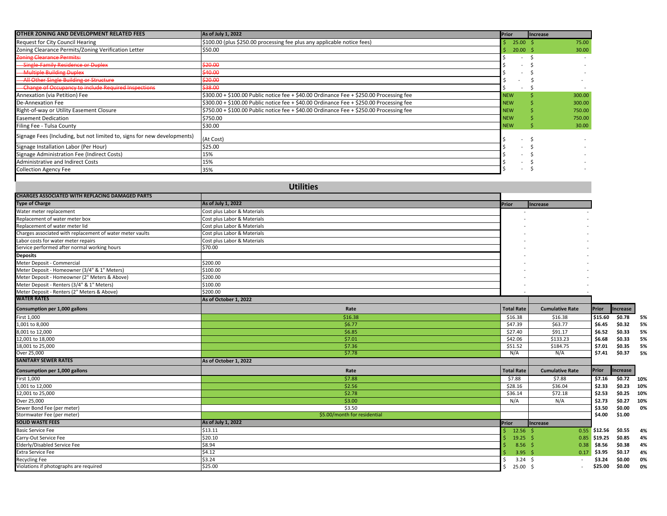| OTHER ZONING AND DEVELOPMENT RELATED FEES                                | As of July 1, 2022                                                                      | Prior              | <b>Increase</b> |        |
|--------------------------------------------------------------------------|-----------------------------------------------------------------------------------------|--------------------|-----------------|--------|
| Request for City Council Hearing                                         | \$100.00 (plus \$250.00 processing fee plus any applicable notice fees)                 | 25.00 <sup>5</sup> |                 | 75.00  |
| Zoning Clearance Permits/Zoning Verification Letter                      | \$50.00                                                                                 | $20.00$ \$         |                 | 30.00  |
| <b>Zoning Clearance Permits:</b>                                         |                                                                                         |                    |                 |        |
| <b>Single-Family Residence or Duplex</b>                                 | can nn<br>, , , , , ,                                                                   |                    |                 |        |
| -Multiple Building Duplex                                                | \$40.00                                                                                 |                    |                 |        |
| All Other Single Building or Structure                                   | \$20.00                                                                                 |                    |                 |        |
| <b>Change of Occupancy to include Required Inspections</b>               | \$38.00                                                                                 |                    |                 |        |
| Annexation (via Petition) Fee                                            | \$300.00 + \$100.00 Public notice fee + \$40.00 Ordinance Fee + \$250.00 Processing fee | <b>NEW</b>         |                 | 300.00 |
| De-Annexation Fee                                                        | \$300.00 + \$100.00 Public notice fee + \$40.00 Ordinance Fee + \$250.00 Processing fee | <b>NEW</b>         |                 | 300.00 |
| Right-of-way or Utility Easement Closure                                 | \$750.00 + \$100.00 Public notice fee + \$40.00 Ordinance Fee + \$250.00 Processing fee | <b>NEW</b>         |                 | 750.00 |
| <b>Easement Dedication</b>                                               | \$750.00                                                                                | <b>NEW</b>         |                 | 750.00 |
| Filing Fee - Tulsa County                                                | \$30.00                                                                                 | <b>NEW</b>         |                 | 30.00  |
| Signage Fees (Including, but not limited to, signs for new developments) | (At Cost)                                                                               |                    |                 |        |
| Signage Installation Labor (Per Hour)                                    | \$25.00                                                                                 |                    |                 |        |
| Signage Administration Fee (Indirect Costs)                              | 15%                                                                                     |                    |                 |        |
| Administrative and Indirect Costs                                        | 15%                                                                                     |                    |                 |        |
| <b>Collection Agency Fee</b>                                             | 35%                                                                                     |                    |                 |        |

| <b>Utilities</b>                                          |                              |  |                   |                        |              |            |     |
|-----------------------------------------------------------|------------------------------|--|-------------------|------------------------|--------------|------------|-----|
| <b>CHARGES ASSOCIATED WITH REPLACING DAMAGED PARTS</b>    |                              |  |                   |                        |              |            |     |
| <b>Type of Charge</b>                                     | As of July 1, 2022           |  | Prior             | <b>Increase</b>        |              |            |     |
| Water meter replacement                                   | Cost plus Labor & Materials  |  |                   |                        |              |            |     |
| Replacement of water meter box                            | Cost plus Labor & Materials  |  |                   |                        |              |            |     |
| Replacement of water meter lid                            | Cost plus Labor & Materials  |  |                   |                        |              |            |     |
| Charges associated with replacement of water meter vaults | Cost plus Labor & Materials  |  |                   |                        |              |            |     |
| Labor costs for water meter repairs                       | Cost plus Labor & Materials  |  |                   |                        |              |            |     |
| Service performed after normal working hours              | \$70.00                      |  |                   |                        |              |            |     |
| <b>Deposits</b>                                           |                              |  |                   |                        |              |            |     |
| Meter Deposit - Commercial                                | \$200.00                     |  |                   |                        |              |            |     |
| Meter Deposit - Homeowner (3/4" & 1" Meters)              | \$100.00                     |  |                   |                        |              |            |     |
| Meter Deposit - Homeowner (2" Meters & Above)             | \$200.00                     |  |                   |                        |              |            |     |
| Meter Deposit - Renters (3/4" & 1" Meters)                | \$100.00                     |  |                   |                        |              |            |     |
| Meter Deposit - Renters (2" Meters & Above)               | \$200.00                     |  |                   |                        |              |            |     |
| <b>WATER RATES</b>                                        | As of October 1, 2022        |  |                   |                        |              |            |     |
| Consumption per 1,000 gallons                             | Rate                         |  | <b>Total Rate</b> | <b>Cumulative Rate</b> | Prior        | Increase   |     |
| First 1,000                                               | \$16.38                      |  | \$16.38           | \$16.38                | \$15.60      | \$0.78     | 5%  |
| 1,001 to 8,000                                            | \$6.77                       |  | \$47.39           | \$63.77                | \$6.45       | \$0.32     | 5%  |
| 8,001 to 12,000                                           | \$6.85                       |  | \$27.40           | \$91.17                | \$6.52       | \$0.33     | 5%  |
| 12,001 to 18,000                                          | \$7.01                       |  | \$42.06           | \$133.23               | \$6.68       | \$0.33     | 5%  |
| 18,001 to 25,000                                          | \$7.36                       |  | \$51.52           | \$184.75               | \$7.01       | \$0.35     | 5%  |
| Over 25,000                                               | \$7.78                       |  | N/A               | N/A                    | \$7.41       | \$0.37     | 5%  |
| <b>SANITARY SEWER RATES</b>                               | As of October 1, 2022        |  |                   |                        |              |            |     |
| Consumption per 1,000 gallons                             | Rate                         |  | <b>Total Rate</b> | <b>Cumulative Rate</b> | Prior        | Increase   |     |
| First 1,000                                               | \$7.88                       |  | \$7.88            | \$7.88                 | \$7.16       | \$0.72 10% |     |
| 1,001 to 12,000                                           | \$2.56                       |  | \$28.16           | \$36.04                | \$2.33       | \$0.23 10% |     |
| 12,001 to 25,000                                          | \$2.78                       |  | \$36.14           | \$72.18                | \$2.53       | \$0.25 10% |     |
| Over 25,000                                               | \$3.00                       |  | N/A               | N/A                    | \$2.73       | \$0.27     | 10% |
| Sewer Bond Fee (per meter)                                | \$3.50                       |  |                   |                        | \$3.50       | \$0.00     | 0%  |
| Stormwater Fee (per meter)                                | \$5.00/month for residential |  |                   |                        | \$4.00       | \$1.00     |     |
| <b>SOLID WASTE FEES</b>                                   | As of July 1, 2022           |  | Prior             | Increase               |              |            |     |
| <b>Basic Service Fee</b>                                  | \$13.11                      |  | $12.56$ \$        |                        | 0.55 \$12.56 | \$0.55     | 4%  |
| Carry-Out Service Fee                                     | \$20.10                      |  | $19.25$ \$        |                        | 0.85 \$19.25 | \$0.85     | 4%  |
| Elderly/Disabled Service Fee                              | \$8.94                       |  | $8.56$ \$         | 0.38                   | \$8.56       | \$0.38     | 4%  |
| <b>Extra Service Fee</b>                                  | \$4.12                       |  | $3.95$ \$         | 0.17                   | \$3.95       | \$0.17     | 4%  |
| <b>Recycling Fee</b>                                      | \$3.24                       |  | $3.24 \quad$ \$   |                        | \$3.24       | \$0.00     | 0%  |
| Violations if photographs are required                    | \$25.00                      |  | $25.00$ \$        |                        | \$25.00      | \$0.00     | 0%  |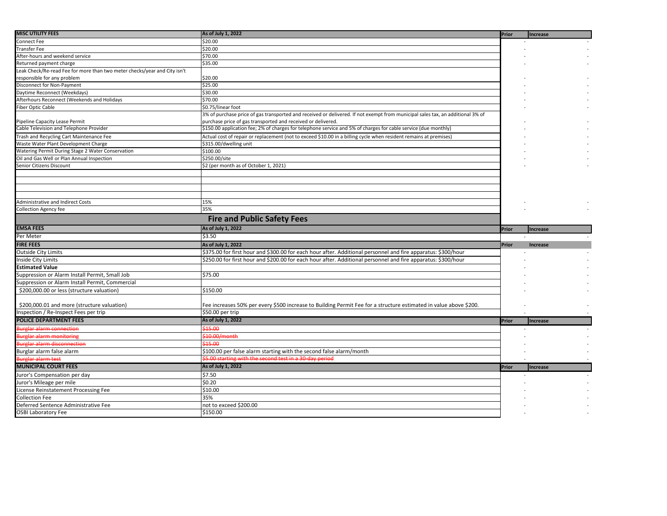| <b>MISC UTILITY FEES</b>                                                  | As of July 1, 2022                                                                                                             | Prior        | <b>Increase</b> |
|---------------------------------------------------------------------------|--------------------------------------------------------------------------------------------------------------------------------|--------------|-----------------|
| Connect Fee                                                               | \$20.00                                                                                                                        |              |                 |
| Transfer Fee                                                              | \$20.00                                                                                                                        |              |                 |
| After-hours and weekend service                                           | \$70.00                                                                                                                        |              |                 |
| Returned payment charge                                                   | \$35.00                                                                                                                        |              |                 |
| Leak Check/Re-read Fee for more than two meter checks/year and City isn't |                                                                                                                                |              |                 |
| responsible for any problem                                               | \$20.00                                                                                                                        |              |                 |
| Disconnect for Non-Payment                                                | \$25.00                                                                                                                        |              |                 |
| Daytime Reconnect (Weekdays)                                              | \$30.00                                                                                                                        |              |                 |
| Afterhours Reconnect (Weekends and Holidays                               | \$70.00                                                                                                                        |              |                 |
| Fiber Optic Cable                                                         | \$0.75/linear foot                                                                                                             |              |                 |
|                                                                           | 3% of purchase price of gas transported and received or delivered. If not exempt from municipal sales tax, an additional 3% of |              |                 |
| Pipeline Capacity Lease Permit                                            | purchase price of gas transported and received or delivered.                                                                   |              |                 |
| Cable Television and Telephone Provider                                   | \$150.00 application fee; 2% of charges for telephone service and 5% of charges for cable service (due monthly)                |              |                 |
| Trash and Recycling Cart Maintenance Fee                                  | Actual cost of repair or replacement (not to exceed \$10.00 in a billing cycle when resident remains at premises)              |              |                 |
| Waste Water Plant Development Charge                                      | \$315.00/dwelling unit                                                                                                         |              |                 |
| Watering Permit During Stage 2 Water Conservation                         | \$100.00                                                                                                                       |              |                 |
| Oil and Gas Well or Plan Annual Inspection                                | \$250.00/site                                                                                                                  |              |                 |
| Senior Citizens Discount                                                  | \$2 (per month as of October 1, 2021)                                                                                          |              |                 |
|                                                                           |                                                                                                                                |              |                 |
|                                                                           |                                                                                                                                |              |                 |
|                                                                           |                                                                                                                                |              |                 |
|                                                                           |                                                                                                                                |              |                 |
| Administrative and Indirect Costs                                         | 15%                                                                                                                            |              |                 |
| <b>Collection Agency fee</b>                                              | 35%                                                                                                                            |              |                 |
|                                                                           | <b>Fire and Public Safety Fees</b>                                                                                             |              |                 |
| <b>EMSA FEES</b>                                                          | As of July 1, 2022                                                                                                             | <b>Prior</b> | <b>Increase</b> |
|                                                                           |                                                                                                                                |              |                 |
| Per Meter                                                                 | \$3.50                                                                                                                         |              |                 |
| <b>FIRE FEES</b>                                                          | As of July 1, 2022                                                                                                             | Prior        | <b>Increase</b> |
| <b>Outside City Limits</b>                                                | \$375.00 for first hour and \$300.00 for each hour after. Additional personnel and fire apparatus: \$300/hour                  |              |                 |
| <b>Inside City Limits</b>                                                 | \$250.00 for first hour and \$200.00 for each hour after. Additional personnel and fire apparatus: \$300/hour                  |              |                 |
| <b>Estimated Value</b>                                                    |                                                                                                                                |              |                 |
|                                                                           |                                                                                                                                |              |                 |
| Suppression or Alarm Install Permit, Small Job                            | \$75.00                                                                                                                        |              |                 |
| Suppression or Alarm Install Permit, Commercial                           |                                                                                                                                |              |                 |
| \$200,000.00 or less (structure valuation)                                | \$150.00                                                                                                                       |              |                 |
|                                                                           |                                                                                                                                |              |                 |
| \$200,000.01 and more (structure valuation)                               | Fee increases 50% per every \$500 increase to Building Permit Fee for a structure estimated in value above \$200.              |              |                 |
| Inspection / Re-Inspect Fees per trip                                     | \$50.00 per trip                                                                                                               |              |                 |
| <b>POLICE DEPARTMENT FEES</b>                                             | As of July 1, 2022                                                                                                             | Prior        | <b>Increase</b> |
| <b>Surglar alarm connection</b>                                           | 345.00                                                                                                                         |              |                 |
| Burglar alarm monitoring                                                  | \$10.00/month                                                                                                                  |              |                 |
| <b>Burglar alarm disconnection</b>                                        | \$15.00                                                                                                                        |              |                 |
| Burglar alarm false alarm                                                 | \$100.00 per false alarm starting with the second false alarm/month                                                            |              |                 |
| Burglar alarm test                                                        | \$5.00 starting with the second test in a 30-day period                                                                        |              |                 |
| <b>MUNICIPAL COURT FEES</b>                                               | As of July 1, 2022                                                                                                             | Prior        | <b>Increase</b> |
| Juror's Compensation per day                                              | \$7.50                                                                                                                         |              |                 |
| Juror's Mileage per mile                                                  | \$0.20                                                                                                                         |              |                 |
| License Reinstatement Processing Fee                                      | \$10.00                                                                                                                        |              |                 |
| <b>Collection Fee</b>                                                     | 35%                                                                                                                            |              |                 |
| Deferred Sentence Administrative Fee<br><b>OSBI Laboratory Fee</b>        | not to exceed \$200.00<br>\$150.00                                                                                             |              |                 |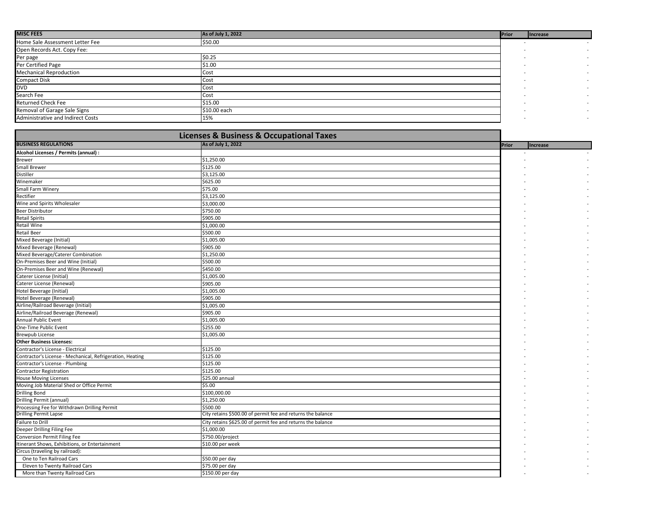| <b>MISC FEES</b>                  | As of July 1, 2022 | <b>Prior</b> | Increase |
|-----------------------------------|--------------------|--------------|----------|
| Home Sale Assessment Letter Fee   | \$50.00            |              |          |
| Open Records Act. Copy Fee:       |                    |              |          |
| Per page                          | \$0.25             |              |          |
| Per Certified Page                | \$1.00             |              |          |
| <b>Mechanical Reproduction</b>    | Cost               |              |          |
| <b>Compact Disk</b>               | Cost               |              |          |
| <b>DVD</b>                        | Cost               |              |          |
| Search Fee                        | Cost               |              |          |
| <b>Returned Check Fee</b>         | \$15.00            |              |          |
| Removal of Garage Sale Signs      | \$10.00 each       |              |          |
| Administrative and Indirect Costs | 15%                |              |          |

| <b>Licenses &amp; Business &amp; Occupational Taxes</b>   |                                                             |  |       |          |  |
|-----------------------------------------------------------|-------------------------------------------------------------|--|-------|----------|--|
| <b>BUSINESS REGULATIONS</b>                               | As of July 1, 2022                                          |  | Prior | Increase |  |
| Alcohol Licenses / Permits (annual) :                     |                                                             |  |       |          |  |
| Brewer                                                    | \$1,250.00                                                  |  |       |          |  |
| <b>Small Brewer</b>                                       | \$125.00                                                    |  |       |          |  |
| <b>Distiller</b>                                          | \$3,125.00                                                  |  |       |          |  |
| Winemaker                                                 | \$625.00                                                    |  |       |          |  |
| Small Farm Winery                                         | \$75.00                                                     |  |       |          |  |
| Rectifier                                                 | \$3,125.00                                                  |  |       |          |  |
| Wine and Spirits Wholesaler                               | \$3,000.00                                                  |  |       |          |  |
| <b>Beer Distributor</b>                                   | \$750.00                                                    |  |       |          |  |
| <b>Retail Spirits</b>                                     | \$905.00                                                    |  |       |          |  |
| <b>Retail Wine</b>                                        | \$1,000.00                                                  |  |       |          |  |
| <b>Retail Beer</b>                                        | \$500.00                                                    |  |       |          |  |
| Mixed Beverage (Initial)                                  | \$1,005.00                                                  |  |       |          |  |
| Mixed Beverage (Renewal)                                  | \$905.00                                                    |  |       |          |  |
| Mixed Beverage/Caterer Combination                        | \$1,250.00                                                  |  |       |          |  |
| On-Premises Beer and Wine (Initial)                       | \$500.00                                                    |  |       |          |  |
| On-Premises Beer and Wine (Renewal)                       | \$450.00                                                    |  |       |          |  |
| Caterer License (Initial)                                 | \$1,005.00                                                  |  |       |          |  |
| Caterer License (Renewal)                                 | \$905.00                                                    |  |       |          |  |
| Hotel Beverage (Initial)                                  | \$1,005.00                                                  |  |       |          |  |
| Hotel Beverage (Renewal)                                  | \$905.00                                                    |  |       |          |  |
| Airline/Railroad Beverage (Initial)                       | \$1,005.00                                                  |  |       |          |  |
| Airline/Railroad Beverage (Renewal)                       | \$905.00                                                    |  |       |          |  |
| <b>Annual Public Event</b>                                | \$1,005.00                                                  |  |       |          |  |
| One-Time Public Event                                     | \$255.00                                                    |  |       |          |  |
| <b>Brewpub License</b>                                    | \$1,005.00                                                  |  |       |          |  |
| <b>Other Business Licenses:</b>                           |                                                             |  |       |          |  |
| Contractor's License - Electrical                         | \$125.00                                                    |  |       |          |  |
| Contractor's License - Mechanical, Refrigeration, Heating | \$125.00                                                    |  |       |          |  |
| Contractor's License - Plumbing                           | \$125.00                                                    |  |       |          |  |
| <b>Contractor Registration</b>                            | \$125.00                                                    |  |       |          |  |
| <b>House Moving Licenses</b>                              | \$25.00 annual                                              |  |       |          |  |
| Moving Job Material Shed or Office Permit                 | \$5.00                                                      |  |       |          |  |
| <b>Drilling Bond</b>                                      | \$100,000.00                                                |  |       |          |  |
| Drilling Permit (annual)                                  | \$1,250.00                                                  |  |       |          |  |
| Processing Fee for Withdrawn Drilling Permit              | \$500.00                                                    |  |       |          |  |
| <b>Drilling Permit Lapse</b>                              | City retains \$500.00 of permit fee and returns the balance |  |       |          |  |
| <b>Failure to Drill</b>                                   | City retains \$625.00 of permit fee and returns the balance |  |       |          |  |
| Deeper Drilling Filing Fee                                | \$1,000.00                                                  |  |       |          |  |
| Conversion Permit Filing Fee                              | \$750.00/project                                            |  |       |          |  |
| Itinerant Shows, Exhibitions, or Entertainment            | \$10.00 per week                                            |  |       |          |  |
| Circus (traveling by railroad):                           |                                                             |  |       |          |  |
| One to Ten Railroad Cars                                  | \$50.00 per day                                             |  |       |          |  |
| Eleven to Twenty Railroad Cars                            | \$75.00 per day                                             |  |       |          |  |
| More than Twenty Railroad Cars                            | \$150.00 per day                                            |  |       |          |  |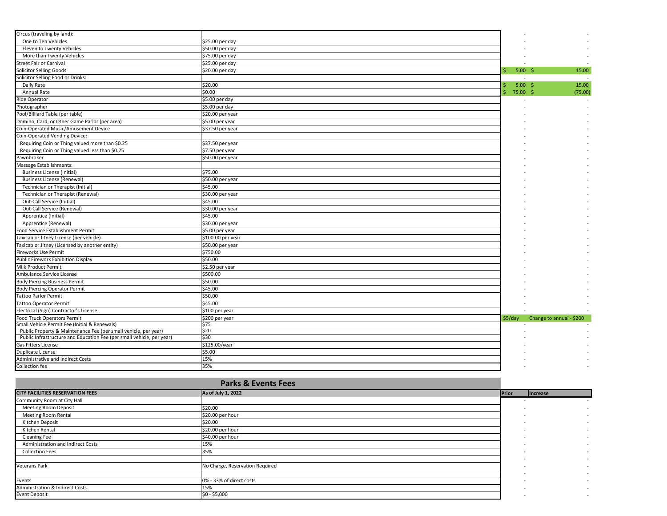| Circus (traveling by land):                                           |                   |         |                   |                          |
|-----------------------------------------------------------------------|-------------------|---------|-------------------|--------------------------|
| One to Ten Vehicles                                                   | \$25.00 per day   |         |                   |                          |
| Eleven to Twenty Vehicles                                             | \$50.00 per day   |         |                   |                          |
| More than Twenty Vehicles                                             | \$75.00 per day   |         |                   |                          |
| Street Fair or Carnival                                               | \$25.00 per day   |         |                   |                          |
| Solicitor Selling Goods                                               | \$20.00 per day   |         | 5.00 <sup>5</sup> | 15.00                    |
| Solicitor Selling Food or Drinks:                                     |                   |         |                   | $\sim$ 100 $\pm$         |
| Daily Rate                                                            | \$20.00           |         | 5.00 <sup>5</sup> | 15.00                    |
| Annual Rate                                                           | \$0.00            |         | 75.00%            | (75.00)                  |
| Ride Operator                                                         | \$5.00 per day    |         |                   |                          |
| Photographer                                                          | \$5.00 per day    |         |                   |                          |
| Pool/Billiard Table (per table)                                       | \$20.00 per year  |         |                   |                          |
| Domino, Card, or Other Game Parlor (per area)                         | \$5.00 per year   |         |                   |                          |
| Coin-Operated Music/Amusement Device                                  | \$37.50 per year  |         |                   |                          |
| Coin-Operated Vending Device:                                         |                   |         |                   |                          |
| Requiring Coin or Thing valued more than \$0.25                       | \$37.50 per year  |         |                   |                          |
| Requiring Coin or Thing valued less than \$0.25                       | \$7.50 per year   |         |                   |                          |
| Pawnbroker                                                            | \$50.00 per year  |         |                   |                          |
| Massage Establishments:                                               |                   |         |                   |                          |
| <b>Business License (Initial)</b>                                     | \$75.00           |         |                   |                          |
| <b>Business License (Renewal)</b>                                     | \$50.00 per year  |         |                   |                          |
| Technician or Therapist (Initial)                                     | \$45.00           |         |                   |                          |
| Technician or Therapist (Renewal)                                     | \$30.00 per year  |         |                   |                          |
| Out-Call Service (Initial)                                            | \$45.00           |         |                   |                          |
| Out-Call Service (Renewal)                                            | \$30.00 per year  |         |                   |                          |
| Apprentice (Initial)                                                  | \$45.00           |         |                   |                          |
| Apprentice (Renewal)                                                  | \$30.00 per year  |         |                   |                          |
| Food Service Establishment Permit                                     | \$5.00 per year   |         |                   |                          |
| Taxicab or Jitney License (per vehicle)                               | \$100.00 per year |         |                   |                          |
| Taxicab or Jitney (Licensed by another entity)                        | \$50.00 per year  |         |                   |                          |
| <b>Fireworks Use Permit</b>                                           | \$750.00          |         |                   |                          |
| Public Firework Exhibition Display                                    | \$50.00           |         |                   |                          |
| Milk Product Permit                                                   | \$2.50 per year   |         |                   |                          |
| Ambulance Service License                                             | \$500.00          |         |                   |                          |
| <b>Body Piercing Business Permit</b>                                  | \$50.00           |         |                   |                          |
| <b>Body Piercing Operator Permit</b>                                  | \$45.00           |         |                   |                          |
| <b>Tattoo Parlor Permit</b>                                           | \$50.00           |         |                   |                          |
| <b>Tattoo Operator Permit</b>                                         | \$45.00           |         |                   |                          |
| Electrical (Sign) Contractor's License                                | \$100 per year    |         |                   |                          |
| <b>Food Truck Operators Permit</b>                                    | \$200 per year    | \$5/day |                   | Change to annual - \$200 |
| Small Vehicle Permit Fee (Initial & Renewals)                         | \$75              |         |                   |                          |
| Public Property & Maintenance Fee (per small vehicle, per year)       | \$20              |         |                   |                          |
| Public Infrastructure and Education Fee (per small vehicle, per year) | \$30              |         |                   |                          |
| Gas Fitters License                                                   | \$125.00/year     |         |                   |                          |
| <b>Duplicate License</b>                                              | \$5.00            |         |                   |                          |
| Administrative and Indirect Costs                                     | 15%               |         |                   |                          |
| Collection fee                                                        | 35%               |         |                   |                          |

|                                            | <b>Parks &amp; Events Fees</b>  |                          |                          |
|--------------------------------------------|---------------------------------|--------------------------|--------------------------|
| <b>CITY FACILITIES RESERVATION FEES</b>    | As of July 1, 2022              | Prior                    | Increase                 |
| Community Room at City Hall                |                                 | $\overline{\phantom{a}}$ | $\sim$                   |
| <b>Meeting Room Deposit</b>                | \$20.00                         |                          | $\overline{\phantom{a}}$ |
| Meeting Room Rental                        | \$20.00 per hour                |                          | $\overline{\phantom{a}}$ |
| Kitchen Deposit                            | \$20.00                         |                          | $\overline{\phantom{a}}$ |
| Kitchen Rental                             | \$20.00 per hour                |                          | $\overline{\phantom{0}}$ |
| Cleaning Fee                               | \$40.00 per hour                |                          | $\overline{\phantom{0}}$ |
| Administration and Indirect Costs          | 15%                             |                          | $\overline{\phantom{a}}$ |
| <b>Collection Fees</b>                     | 35%                             |                          | $\overline{\phantom{0}}$ |
|                                            |                                 |                          | $\overline{\phantom{0}}$ |
| <b>Veterans Park</b>                       | No Charge, Reservation Required |                          | $\overline{\phantom{a}}$ |
|                                            |                                 |                          | $\overline{\phantom{0}}$ |
| Events                                     | 0% - 33% of direct costs        |                          | $\overline{\phantom{0}}$ |
| <b>Administration &amp; Indirect Costs</b> | 15%                             |                          | $\overline{\phantom{a}}$ |
| <b>Event Deposit</b>                       | $$0 - $5,000$                   |                          | $\overline{\phantom{0}}$ |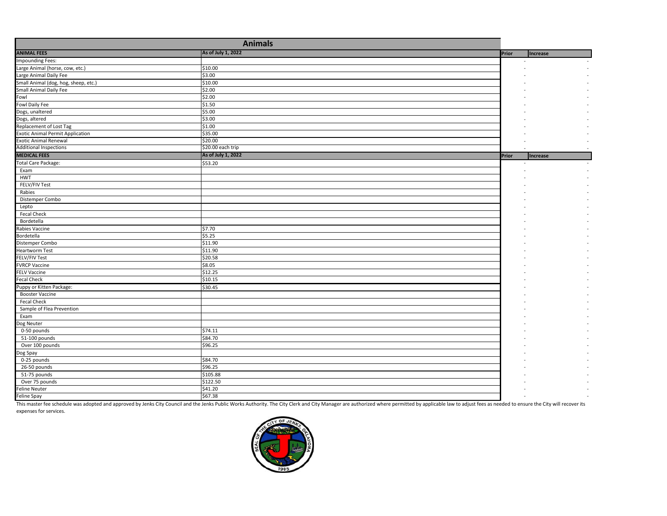| As of July 1, 2022<br><b>Prior</b><br><b>Increase</b><br>\$10.00<br>\$3.00<br>Small Animal (dog, hog, sheep, etc.)<br>\$10.00<br><b>Small Animal Daily Fee</b><br>\$2.00<br>\$2.00<br>\$1.50<br>\$5.00<br>Dogs, unaltered<br>Dogs, altered<br>\$3.00<br>Replacement of Lost Tag<br>\$1.00<br>\$35.00<br>\$20.00<br>\$20.00 each trip<br>As of July 1, 2022<br><b>Prior</b><br>Increase<br>\$53.20<br>Total Care Package:<br>Exam<br><b>HWT</b><br>FELV/FIV Test<br>Rabies<br>Distemper Combo<br>Lepto<br><b>Fecal Check</b><br>Bordetella<br>\$7.70<br>Rabies Vaccine<br>\$5.25<br>Bordetella<br>\$11.90<br>Distemper Combo<br>\$11.90<br><b>Heartworm Test</b><br>\$20.58<br><b>FELV/FIV Test</b><br>\$8.05<br><b>FVRCP Vaccine</b><br>\$12.25<br><b>FELV Vaccine</b><br>\$10.15<br><b>Fecal Check</b><br>Puppy or Kitten Package:<br>\$30.45<br><b>Booster Vaccine</b><br>Fecal Check<br>Sample of Flea Prevention<br>Exam<br>Dog Neuter<br>\$74.11<br>0-50 pounds<br>\$84.70<br>51-100 pounds<br>Over 100 pounds<br>\$96.25<br>Dog Spay<br>\$84.70<br>0-25 pounds<br>\$96.25<br>26-50 pounds<br>51-75 pounds<br>\$105.88<br>Over 75 pounds<br>\$122.50<br>\$41.20<br><b>Feline Neuter</b><br>\$67.38 |                                         |  |  |
|---------------------------------------------------------------------------------------------------------------------------------------------------------------------------------------------------------------------------------------------------------------------------------------------------------------------------------------------------------------------------------------------------------------------------------------------------------------------------------------------------------------------------------------------------------------------------------------------------------------------------------------------------------------------------------------------------------------------------------------------------------------------------------------------------------------------------------------------------------------------------------------------------------------------------------------------------------------------------------------------------------------------------------------------------------------------------------------------------------------------------------------------------------------------------------------------------------|-----------------------------------------|--|--|
|                                                                                                                                                                                                                                                                                                                                                                                                                                                                                                                                                                                                                                                                                                                                                                                                                                                                                                                                                                                                                                                                                                                                                                                                         | <b>ANIMAL FEES</b>                      |  |  |
|                                                                                                                                                                                                                                                                                                                                                                                                                                                                                                                                                                                                                                                                                                                                                                                                                                                                                                                                                                                                                                                                                                                                                                                                         | Impounding Fees:                        |  |  |
|                                                                                                                                                                                                                                                                                                                                                                                                                                                                                                                                                                                                                                                                                                                                                                                                                                                                                                                                                                                                                                                                                                                                                                                                         | Large Animal (horse, cow, etc.)         |  |  |
|                                                                                                                                                                                                                                                                                                                                                                                                                                                                                                                                                                                                                                                                                                                                                                                                                                                                                                                                                                                                                                                                                                                                                                                                         | Large Animal Daily Fee                  |  |  |
|                                                                                                                                                                                                                                                                                                                                                                                                                                                                                                                                                                                                                                                                                                                                                                                                                                                                                                                                                                                                                                                                                                                                                                                                         |                                         |  |  |
|                                                                                                                                                                                                                                                                                                                                                                                                                                                                                                                                                                                                                                                                                                                                                                                                                                                                                                                                                                                                                                                                                                                                                                                                         |                                         |  |  |
|                                                                                                                                                                                                                                                                                                                                                                                                                                                                                                                                                                                                                                                                                                                                                                                                                                                                                                                                                                                                                                                                                                                                                                                                         | Fowl                                    |  |  |
|                                                                                                                                                                                                                                                                                                                                                                                                                                                                                                                                                                                                                                                                                                                                                                                                                                                                                                                                                                                                                                                                                                                                                                                                         | Fowl Daily Fee                          |  |  |
|                                                                                                                                                                                                                                                                                                                                                                                                                                                                                                                                                                                                                                                                                                                                                                                                                                                                                                                                                                                                                                                                                                                                                                                                         |                                         |  |  |
|                                                                                                                                                                                                                                                                                                                                                                                                                                                                                                                                                                                                                                                                                                                                                                                                                                                                                                                                                                                                                                                                                                                                                                                                         |                                         |  |  |
|                                                                                                                                                                                                                                                                                                                                                                                                                                                                                                                                                                                                                                                                                                                                                                                                                                                                                                                                                                                                                                                                                                                                                                                                         |                                         |  |  |
|                                                                                                                                                                                                                                                                                                                                                                                                                                                                                                                                                                                                                                                                                                                                                                                                                                                                                                                                                                                                                                                                                                                                                                                                         | <b>Exotic Animal Permit Application</b> |  |  |
|                                                                                                                                                                                                                                                                                                                                                                                                                                                                                                                                                                                                                                                                                                                                                                                                                                                                                                                                                                                                                                                                                                                                                                                                         | <b>Exotic Animal Renewal</b>            |  |  |
|                                                                                                                                                                                                                                                                                                                                                                                                                                                                                                                                                                                                                                                                                                                                                                                                                                                                                                                                                                                                                                                                                                                                                                                                         | <b>Additional Inspections</b>           |  |  |
|                                                                                                                                                                                                                                                                                                                                                                                                                                                                                                                                                                                                                                                                                                                                                                                                                                                                                                                                                                                                                                                                                                                                                                                                         | <b>MEDICAL FEES</b>                     |  |  |
|                                                                                                                                                                                                                                                                                                                                                                                                                                                                                                                                                                                                                                                                                                                                                                                                                                                                                                                                                                                                                                                                                                                                                                                                         |                                         |  |  |
|                                                                                                                                                                                                                                                                                                                                                                                                                                                                                                                                                                                                                                                                                                                                                                                                                                                                                                                                                                                                                                                                                                                                                                                                         |                                         |  |  |
|                                                                                                                                                                                                                                                                                                                                                                                                                                                                                                                                                                                                                                                                                                                                                                                                                                                                                                                                                                                                                                                                                                                                                                                                         |                                         |  |  |
|                                                                                                                                                                                                                                                                                                                                                                                                                                                                                                                                                                                                                                                                                                                                                                                                                                                                                                                                                                                                                                                                                                                                                                                                         |                                         |  |  |
|                                                                                                                                                                                                                                                                                                                                                                                                                                                                                                                                                                                                                                                                                                                                                                                                                                                                                                                                                                                                                                                                                                                                                                                                         |                                         |  |  |
|                                                                                                                                                                                                                                                                                                                                                                                                                                                                                                                                                                                                                                                                                                                                                                                                                                                                                                                                                                                                                                                                                                                                                                                                         |                                         |  |  |
|                                                                                                                                                                                                                                                                                                                                                                                                                                                                                                                                                                                                                                                                                                                                                                                                                                                                                                                                                                                                                                                                                                                                                                                                         |                                         |  |  |
|                                                                                                                                                                                                                                                                                                                                                                                                                                                                                                                                                                                                                                                                                                                                                                                                                                                                                                                                                                                                                                                                                                                                                                                                         |                                         |  |  |
|                                                                                                                                                                                                                                                                                                                                                                                                                                                                                                                                                                                                                                                                                                                                                                                                                                                                                                                                                                                                                                                                                                                                                                                                         |                                         |  |  |
|                                                                                                                                                                                                                                                                                                                                                                                                                                                                                                                                                                                                                                                                                                                                                                                                                                                                                                                                                                                                                                                                                                                                                                                                         |                                         |  |  |
|                                                                                                                                                                                                                                                                                                                                                                                                                                                                                                                                                                                                                                                                                                                                                                                                                                                                                                                                                                                                                                                                                                                                                                                                         |                                         |  |  |
|                                                                                                                                                                                                                                                                                                                                                                                                                                                                                                                                                                                                                                                                                                                                                                                                                                                                                                                                                                                                                                                                                                                                                                                                         |                                         |  |  |
|                                                                                                                                                                                                                                                                                                                                                                                                                                                                                                                                                                                                                                                                                                                                                                                                                                                                                                                                                                                                                                                                                                                                                                                                         |                                         |  |  |
|                                                                                                                                                                                                                                                                                                                                                                                                                                                                                                                                                                                                                                                                                                                                                                                                                                                                                                                                                                                                                                                                                                                                                                                                         |                                         |  |  |
|                                                                                                                                                                                                                                                                                                                                                                                                                                                                                                                                                                                                                                                                                                                                                                                                                                                                                                                                                                                                                                                                                                                                                                                                         |                                         |  |  |
|                                                                                                                                                                                                                                                                                                                                                                                                                                                                                                                                                                                                                                                                                                                                                                                                                                                                                                                                                                                                                                                                                                                                                                                                         |                                         |  |  |
|                                                                                                                                                                                                                                                                                                                                                                                                                                                                                                                                                                                                                                                                                                                                                                                                                                                                                                                                                                                                                                                                                                                                                                                                         |                                         |  |  |
|                                                                                                                                                                                                                                                                                                                                                                                                                                                                                                                                                                                                                                                                                                                                                                                                                                                                                                                                                                                                                                                                                                                                                                                                         |                                         |  |  |
|                                                                                                                                                                                                                                                                                                                                                                                                                                                                                                                                                                                                                                                                                                                                                                                                                                                                                                                                                                                                                                                                                                                                                                                                         |                                         |  |  |
|                                                                                                                                                                                                                                                                                                                                                                                                                                                                                                                                                                                                                                                                                                                                                                                                                                                                                                                                                                                                                                                                                                                                                                                                         |                                         |  |  |
|                                                                                                                                                                                                                                                                                                                                                                                                                                                                                                                                                                                                                                                                                                                                                                                                                                                                                                                                                                                                                                                                                                                                                                                                         |                                         |  |  |
|                                                                                                                                                                                                                                                                                                                                                                                                                                                                                                                                                                                                                                                                                                                                                                                                                                                                                                                                                                                                                                                                                                                                                                                                         |                                         |  |  |
|                                                                                                                                                                                                                                                                                                                                                                                                                                                                                                                                                                                                                                                                                                                                                                                                                                                                                                                                                                                                                                                                                                                                                                                                         |                                         |  |  |
|                                                                                                                                                                                                                                                                                                                                                                                                                                                                                                                                                                                                                                                                                                                                                                                                                                                                                                                                                                                                                                                                                                                                                                                                         |                                         |  |  |
|                                                                                                                                                                                                                                                                                                                                                                                                                                                                                                                                                                                                                                                                                                                                                                                                                                                                                                                                                                                                                                                                                                                                                                                                         |                                         |  |  |
|                                                                                                                                                                                                                                                                                                                                                                                                                                                                                                                                                                                                                                                                                                                                                                                                                                                                                                                                                                                                                                                                                                                                                                                                         |                                         |  |  |
|                                                                                                                                                                                                                                                                                                                                                                                                                                                                                                                                                                                                                                                                                                                                                                                                                                                                                                                                                                                                                                                                                                                                                                                                         |                                         |  |  |
|                                                                                                                                                                                                                                                                                                                                                                                                                                                                                                                                                                                                                                                                                                                                                                                                                                                                                                                                                                                                                                                                                                                                                                                                         |                                         |  |  |
|                                                                                                                                                                                                                                                                                                                                                                                                                                                                                                                                                                                                                                                                                                                                                                                                                                                                                                                                                                                                                                                                                                                                                                                                         |                                         |  |  |
|                                                                                                                                                                                                                                                                                                                                                                                                                                                                                                                                                                                                                                                                                                                                                                                                                                                                                                                                                                                                                                                                                                                                                                                                         |                                         |  |  |
|                                                                                                                                                                                                                                                                                                                                                                                                                                                                                                                                                                                                                                                                                                                                                                                                                                                                                                                                                                                                                                                                                                                                                                                                         |                                         |  |  |
|                                                                                                                                                                                                                                                                                                                                                                                                                                                                                                                                                                                                                                                                                                                                                                                                                                                                                                                                                                                                                                                                                                                                                                                                         |                                         |  |  |
|                                                                                                                                                                                                                                                                                                                                                                                                                                                                                                                                                                                                                                                                                                                                                                                                                                                                                                                                                                                                                                                                                                                                                                                                         | Feline Spay                             |  |  |

This master fee schedule was adopted and approved by Jenks City Council and the Jenks Public Works Authority. The City Clerk and City Manager are authorized where permitted by applicable law to adjust fees as needed to ens expenses for services.

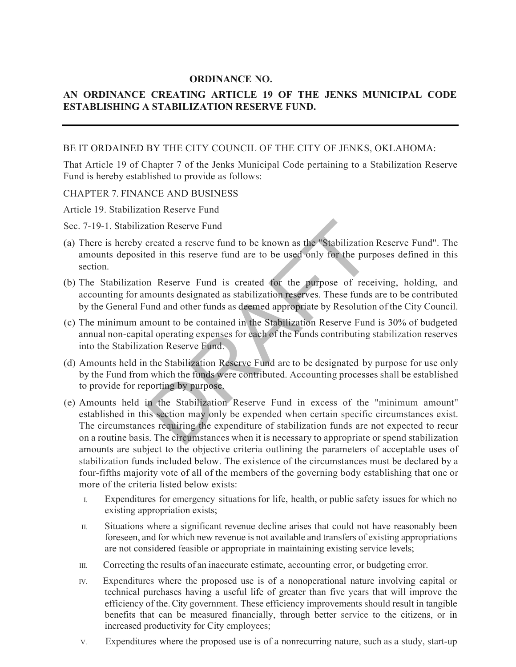## **ORDINANCE NO.**

## **AN ORDINANCE CREATING ARTICLE 19 OF THE JENKS MUNICIPAL CODE ESTABLISHING A STABILIZATION RESERVE FUND.**

### BE IT ORDAINED BY THE CITY COUNCIL OF THE CITY OF JENKS, OKLAHOMA:

That Article 19 of Chapter 7 of the Jenks Municipal Code pertaining to a Stabilization Reserve Fund is hereby established to provide as follows:

#### CHAPTER 7. FINANCE AND BUSINESS

Article 19. Stabilization Reserve Fund

#### Sec. 7-19-1. Stabilization Reserve Fund

- (a) There is hereby created a reserve fund to be known as the "Stabilization Reserve Fund". The amounts deposited in this reserve fund are to be used only for the purposes defined in this section.
- (b) The Stabilization Reserve Fund is created for the purpose of receiving, holding, and accounting for amounts designated as stabilization reserves. These funds are to be contributed by the General Fund and other funds as deemed appropriate by Resolution of the City Council.
- (c) The minimum amount to be contained in the Stabilization Reserve Fund is 30% of budgeted annual non-capital operating expenses for each of the Funds contributing stabilization reserves into the Stabilization Reserve Fund.
- (d) Amounts held in the Stabilization Reserve Fund are to be designated by purpose for use only by the Fund from which the funds were contributed. Accounting processes shall be established to provide for reporting by purpose.
- (e) Amounts held in the Stabilization Reserve Fund in excess of the "minimum amount" established in this section may only be expended when certain specific circumstances exist. The circumstances requiring the expenditure of stabilization funds are not expected to recur on a routine basis. The circumstances when it is necessary to appropriate or spend stabilization amounts are subject to the objective criteria outlining the parameters of acceptable uses of stabilization funds included below. The existence of the circumstances must be declared by a four-fifths majority vote of all of the members of the governing body establishing that one or more of the criteria listed below exists: ation Reserve Fund<br>created a reserve fund to be known as the "Stabilization<br>red in this reserve fund are to be used only for the purp<br>on<br>Reserve Fund is created for the purpose of rece<br>mounts designated as stabilization re
	- I. Expenditures for emergency situations for life, health, or public safety issues for which no existing appropriation exists;
	- II. Situations where a significant revenue decline arises that could not have reasonably been foreseen, and for which new revenue is not available and transfers of existing appropriations are not considered feasible or appropriate in maintaining existing service levels;
	- III. Correcting the results of an inaccurate estimate, accounting error, or budgeting error.
	- IV. Expenditures where the proposed use is of a nonoperational nature involving capital or technical purchases having a useful life of greater than five years that will improve the efficiency of the. City government. These efficiency improvements should result in tangible benefits that can be measured financially, through better service to the citizens, or in increased productivity for City employees;
	- V. Expenditures where the proposed use is of a nonrecurring nature, such as a study, start-up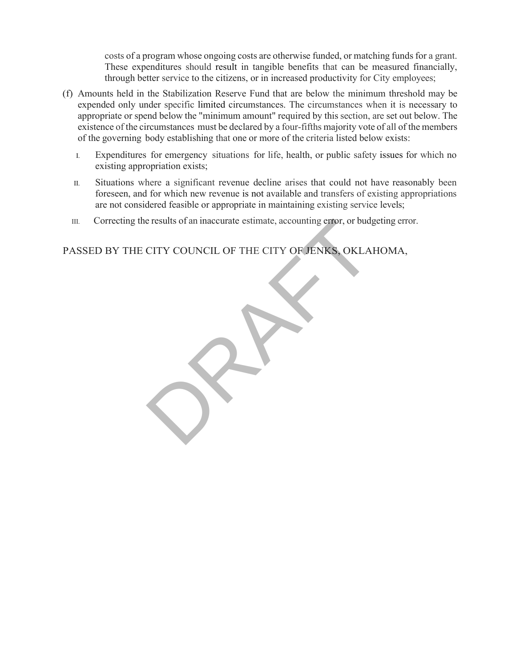costs of a program whose ongoing costs are otherwise funded, or matching funds for a grant. These expenditures should result in tangible benefits that can be measured financially, through better service to the citizens, or in increased productivity for City employees;

- (f) Amounts held in the Stabilization Reserve Fund that are below the minimum threshold may be expended only under specific limited circumstances. The circumstances when it is necessary to appropriate or spend below the "minimum amount" required by this section, are set out below. The existence of the circumstances must be declared by a four-fifths majority vote of all of the members of the governing body establishing that one or more of the criteria listed below exists:
	- I. Expenditures for emergency situations for life, health, or public safety issues for which no existing appropriation exists;
	- II. Situations where a significant revenue decline arises that could not have reasonably been foreseen, and for which new revenue is not available and transfers of existing appropriations are not considered feasible or appropriate in maintaining existing service levels;
	- III. Correcting the results of an inaccurate estimate, accounting error, or budgeting error.

PASSED BY THE CITY COUNCIL OF THE CITY OF JENKS, OKLAHOMA, e results of an inaccurate estimate, accounting erfor, or budget CITY COUNCIL OF THE CITY OF JENKS, OKLAI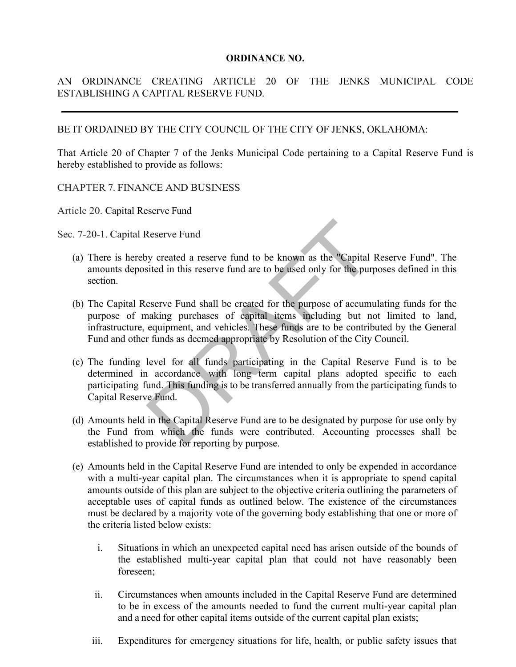### **ORDINANCE NO.**

## AN ORDINANCE CREATING ARTICLE 20 OF THE JENKS MUNICIPAL CODE ESTABLISHING A CAPITAL RESERVE FUND.

## BE IT ORDAINED BY THE CITY COUNCIL OF THE CITY OF JENKS, OKLAHOMA:

That Article 20 of Chapter 7 of the Jenks Municipal Code pertaining to a Capital Reserve Fund is hereby established to provide as follows:

## CHAPTER 7. FINANCE AND BUSINESS

Article 20. Capital Reserve Fund

Sec. 7-20-1. Capital Reserve Fund

- (a) There is hereby created a reserve fund to be known as the "Capital Reserve Fund". The amounts deposited in this reserve fund are to be used only for the purposes defined in this section.
- (b) The Capital Reserve Fund shall be created for the purpose of accumulating funds for the purpose of making purchases of capital items including but not limited to land, infrastructure, equipment, and vehicles. These funds are to be contributed by the General Fund and other funds as deemed appropriate by Resolution of the City Council.
- (c) The funding level for all funds participating in the Capital Reserve Fund is to be determined in accordance with long term capital plans adopted specific to each participating fund. This funding is to be transferred annually from the participating funds to Capital Reserve Fund. Reserve Fund<br>py created a reserve fund to be known as the "Capital<br>sited in this reserve fund are to be used only for the purp<br>teserve Fund shall be created for the purpose of accum<br>making purchases of capital items includ
- (d) Amounts held in the Capital Reserve Fund are to be designated by purpose for use only by the Fund from which the funds were contributed. Accounting processes shall be established to provide for reporting by purpose.
- (e) Amounts held in the Capital Reserve Fund are intended to only be expended in accordance with a multi-year capital plan. The circumstances when it is appropriate to spend capital amounts outside of this plan are subject to the objective criteria outlining the parameters of acceptable uses of capital funds as outlined below. The existence of the circumstances must be declared by a majority vote of the governing body establishing that one or more of the criteria listed below exists:
	- i. Situations in which an unexpected capital need has arisen outside of the bounds of the established multi-year capital plan that could not have reasonably been foreseen;
	- ii. Circumstances when amounts included in the Capital Reserve Fund are determined to be in excess of the amounts needed to fund the current multi-year capital plan and a need for other capital items outside of the current capital plan exists;
	- iii. Expenditures for emergency situations for life, health, or public safety issues that